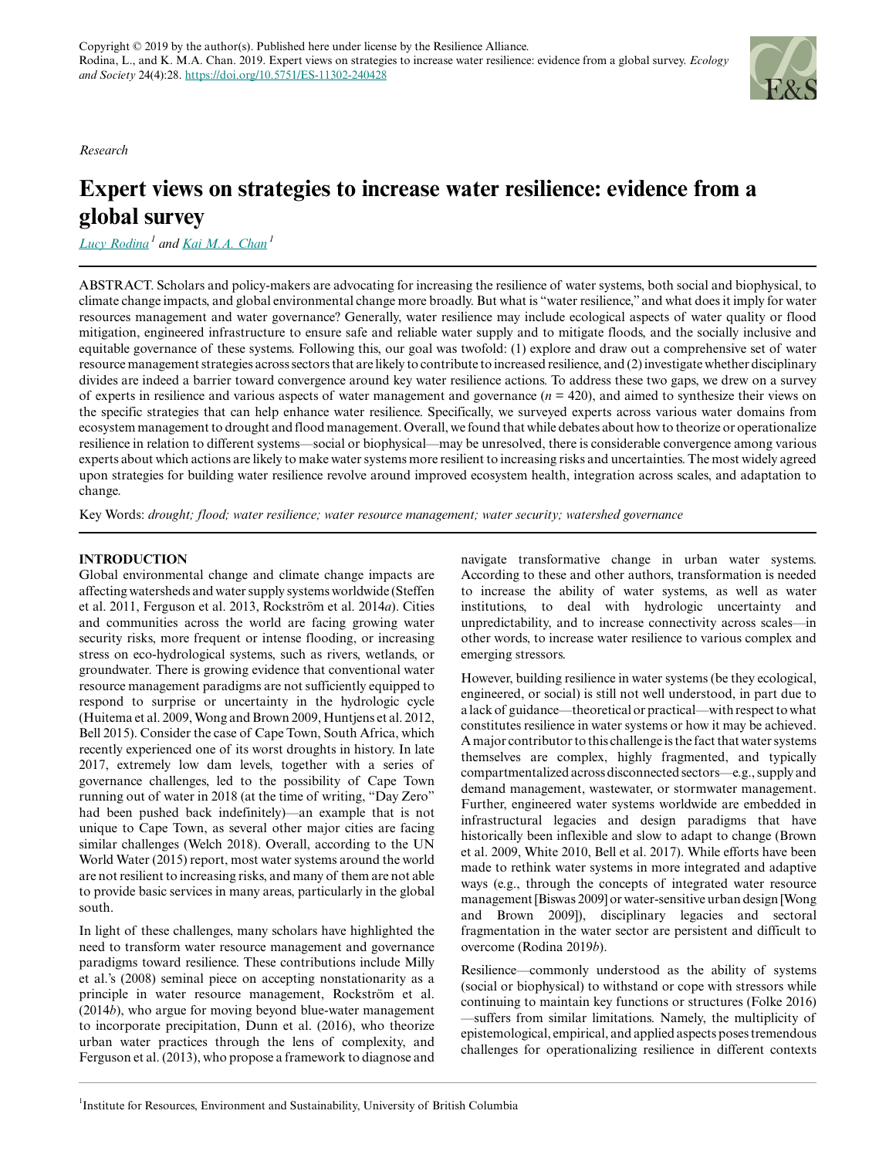*Research*

# **Expert views on strategies to increase water resilience: evidence from a global survey**

*[Lucy Rodina](mailto:l.rodina@alumni.ubc.ca)<sup>1</sup> and [Kai M.A. Chan](mailto:kaichan@ires.ubc.ca)<sup>1</sup>*

ABSTRACT. Scholars and policy-makers are advocating for increasing the resilience of water systems, both social and biophysical, to climate change impacts, and global environmental change more broadly. But what is "water resilience," and what does it imply for water resources management and water governance? Generally, water resilience may include ecological aspects of water quality or flood mitigation, engineered infrastructure to ensure safe and reliable water supply and to mitigate floods, and the socially inclusive and equitable governance of these systems. Following this, our goal was twofold: (1) explore and draw out a comprehensive set of water resource management strategies across sectors that are likely to contribute to increased resilience, and (2) investigate whether disciplinary divides are indeed a barrier toward convergence around key water resilience actions. To address these two gaps, we drew on a survey of experts in resilience and various aspects of water management and governance  $(n = 420)$ , and aimed to synthesize their views on the specific strategies that can help enhance water resilience. Specifically, we surveyed experts across various water domains from ecosystem management to drought and flood management. Overall, we found that while debates about how to theorize or operationalize resilience in relation to different systems—social or biophysical—may be unresolved, there is considerable convergence among various experts about which actions are likely to make water systems more resilient to increasing risks and uncertainties. The most widely agreed upon strategies for building water resilience revolve around improved ecosystem health, integration across scales, and adaptation to change.

Key Words: *drought; flood; water resilience; water resource management; water security; watershed governance*

#### **INTRODUCTION**

Global environmental change and climate change impacts are affecting watersheds and water supply systems worldwide (Steffen et al. 2011, Ferguson et al. 2013, Rockström et al. 2014*a*). Cities and communities across the world are facing growing water security risks, more frequent or intense flooding, or increasing stress on eco-hydrological systems, such as rivers, wetlands, or groundwater. There is growing evidence that conventional water resource management paradigms are not sufficiently equipped to respond to surprise or uncertainty in the hydrologic cycle (Huitema et al. 2009, Wong and Brown 2009, Huntjens et al. 2012, Bell 2015). Consider the case of Cape Town, South Africa, which recently experienced one of its worst droughts in history. In late 2017, extremely low dam levels, together with a series of governance challenges, led to the possibility of Cape Town running out of water in 2018 (at the time of writing, "Day Zero" had been pushed back indefinitely)—an example that is not unique to Cape Town, as several other major cities are facing similar challenges (Welch 2018). Overall, according to the UN World Water (2015) report, most water systems around the world are not resilient to increasing risks, and many of them are not able to provide basic services in many areas, particularly in the global south.

In light of these challenges, many scholars have highlighted the need to transform water resource management and governance paradigms toward resilience. These contributions include Milly et al.'s (2008) seminal piece on accepting nonstationarity as a principle in water resource management, Rockström et al. (2014*b*), who argue for moving beyond blue-water management to incorporate precipitation, Dunn et al. (2016), who theorize urban water practices through the lens of complexity, and Ferguson et al. (2013), who propose a framework to diagnose and

navigate transformative change in urban water systems. According to these and other authors, transformation is needed to increase the ability of water systems, as well as water institutions, to deal with hydrologic uncertainty and unpredictability, and to increase connectivity across scales—in other words, to increase water resilience to various complex and emerging stressors.

However, building resilience in water systems (be they ecological, engineered, or social) is still not well understood, in part due to a lack of guidance—theoretical or practical—with respect to what constitutes resilience in water systems or how it may be achieved. A major contributor to this challenge is the fact that water systems themselves are complex, highly fragmented, and typically compartmentalized across disconnected sectors—e.g., supply and demand management, wastewater, or stormwater management. Further, engineered water systems worldwide are embedded in infrastructural legacies and design paradigms that have historically been inflexible and slow to adapt to change (Brown et al. 2009, White 2010, Bell et al. 2017). While efforts have been made to rethink water systems in more integrated and adaptive ways (e.g., through the concepts of integrated water resource management [Biswas 2009] or water-sensitive urban design [Wong and Brown 2009]), disciplinary legacies and sectoral fragmentation in the water sector are persistent and difficult to overcome (Rodina 2019*b*).

Resilience—commonly understood as the ability of systems (social or biophysical) to withstand or cope with stressors while continuing to maintain key functions or structures (Folke 2016) —suffers from similar limitations. Namely, the multiplicity of epistemological, empirical, and applied aspects poses tremendous challenges for operationalizing resilience in different contexts

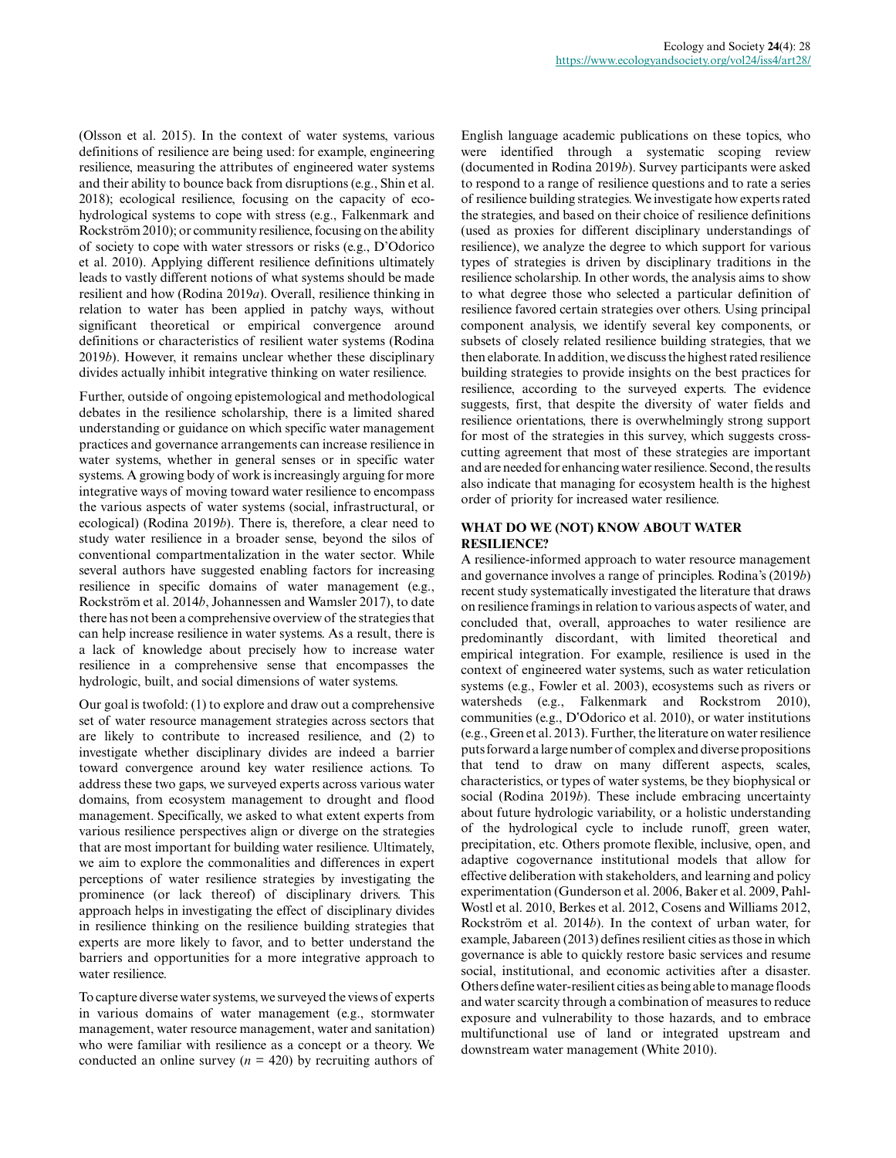(Olsson et al. 2015). In the context of water systems, various definitions of resilience are being used: for example, engineering resilience, measuring the attributes of engineered water systems and their ability to bounce back from disruptions (e.g., Shin et al. 2018); ecological resilience, focusing on the capacity of ecohydrological systems to cope with stress (e.g., Falkenmark and Rockström 2010); or community resilience, focusing on the ability of society to cope with water stressors or risks (e.g., D'Odorico et al. 2010). Applying different resilience definitions ultimately leads to vastly different notions of what systems should be made resilient and how (Rodina 2019*a*). Overall, resilience thinking in relation to water has been applied in patchy ways, without significant theoretical or empirical convergence around definitions or characteristics of resilient water systems (Rodina 2019*b*). However, it remains unclear whether these disciplinary divides actually inhibit integrative thinking on water resilience.

Further, outside of ongoing epistemological and methodological debates in the resilience scholarship, there is a limited shared understanding or guidance on which specific water management practices and governance arrangements can increase resilience in water systems, whether in general senses or in specific water systems. A growing body of work is increasingly arguing for more integrative ways of moving toward water resilience to encompass the various aspects of water systems (social, infrastructural, or ecological) (Rodina 2019*b*). There is, therefore, a clear need to study water resilience in a broader sense, beyond the silos of conventional compartmentalization in the water sector. While several authors have suggested enabling factors for increasing resilience in specific domains of water management (e.g., Rockström et al. 2014*b*, Johannessen and Wamsler 2017), to date there has not been a comprehensive overview of the strategies that can help increase resilience in water systems. As a result, there is a lack of knowledge about precisely how to increase water resilience in a comprehensive sense that encompasses the hydrologic, built, and social dimensions of water systems.

Our goal is twofold: (1) to explore and draw out a comprehensive set of water resource management strategies across sectors that are likely to contribute to increased resilience, and (2) to investigate whether disciplinary divides are indeed a barrier toward convergence around key water resilience actions. To address these two gaps, we surveyed experts across various water domains, from ecosystem management to drought and flood management. Specifically, we asked to what extent experts from various resilience perspectives align or diverge on the strategies that are most important for building water resilience. Ultimately, we aim to explore the commonalities and differences in expert perceptions of water resilience strategies by investigating the prominence (or lack thereof) of disciplinary drivers. This approach helps in investigating the effect of disciplinary divides in resilience thinking on the resilience building strategies that experts are more likely to favor, and to better understand the barriers and opportunities for a more integrative approach to water resilience.

To capture diverse water systems, we surveyed the views of experts in various domains of water management (e.g., stormwater management, water resource management, water and sanitation) who were familiar with resilience as a concept or a theory. We conducted an online survey  $(n = 420)$  by recruiting authors of

English language academic publications on these topics, who were identified through a systematic scoping review (documented in Rodina 2019*b*). Survey participants were asked to respond to a range of resilience questions and to rate a series of resilience building strategies. We investigate how experts rated the strategies, and based on their choice of resilience definitions (used as proxies for different disciplinary understandings of resilience), we analyze the degree to which support for various types of strategies is driven by disciplinary traditions in the resilience scholarship. In other words, the analysis aims to show to what degree those who selected a particular definition of resilience favored certain strategies over others. Using principal component analysis, we identify several key components, or subsets of closely related resilience building strategies, that we then elaborate. In addition, we discuss the highest rated resilience building strategies to provide insights on the best practices for resilience, according to the surveyed experts. The evidence suggests, first, that despite the diversity of water fields and resilience orientations, there is overwhelmingly strong support for most of the strategies in this survey, which suggests crosscutting agreement that most of these strategies are important and are needed for enhancing water resilience. Second, the results also indicate that managing for ecosystem health is the highest order of priority for increased water resilience.

#### **WHAT DO WE (NOT) KNOW ABOUT WATER RESILIENCE?**

A resilience-informed approach to water resource management and governance involves a range of principles. Rodina's (2019*b*) recent study systematically investigated the literature that draws on resilience framings in relation to various aspects of water, and concluded that, overall, approaches to water resilience are predominantly discordant, with limited theoretical and empirical integration. For example, resilience is used in the context of engineered water systems, such as water reticulation systems (e.g., Fowler et al. 2003), ecosystems such as rivers or watersheds (e.g., Falkenmark and Rockstrom 2010), communities (e.g., D'Odorico et al. 2010), or water institutions (e.g., Green et al. 2013). Further, the literature on water resilience puts forward a large number of complex and diverse propositions that tend to draw on many different aspects, scales, characteristics, or types of water systems, be they biophysical or social (Rodina 2019*b*). These include embracing uncertainty about future hydrologic variability, or a holistic understanding of the hydrological cycle to include runoff, green water, precipitation, etc. Others promote flexible, inclusive, open, and adaptive cogovernance institutional models that allow for effective deliberation with stakeholders, and learning and policy experimentation (Gunderson et al. 2006, Baker et al. 2009, Pahl-Wostl et al. 2010, Berkes et al. 2012, Cosens and Williams 2012, Rockström et al. 2014*b*). In the context of urban water, for example, Jabareen (2013) defines resilient cities as those in which governance is able to quickly restore basic services and resume social, institutional, and economic activities after a disaster. Others define water-resilient cities as being able to manage floods and water scarcity through a combination of measures to reduce exposure and vulnerability to those hazards, and to embrace multifunctional use of land or integrated upstream and downstream water management (White 2010).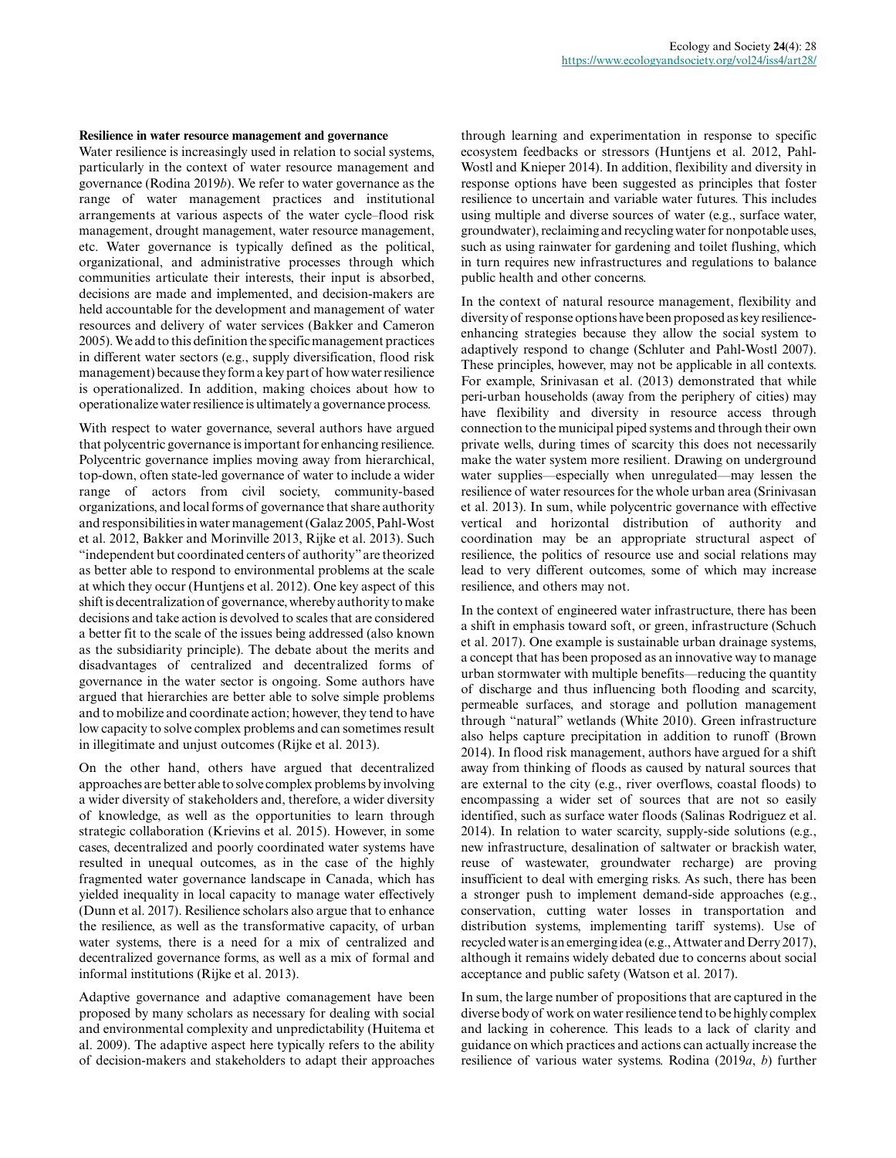#### **Resilience in water resource management and governance**

Water resilience is increasingly used in relation to social systems, particularly in the context of water resource management and governance (Rodina 2019*b*). We refer to water governance as the range of water management practices and institutional arrangements at various aspects of the water cycle–flood risk management, drought management, water resource management, etc. Water governance is typically defined as the political, organizational, and administrative processes through which communities articulate their interests, their input is absorbed, decisions are made and implemented, and decision-makers are held accountable for the development and management of water resources and delivery of water services (Bakker and Cameron 2005). We add to this definition the specific management practices in different water sectors (e.g., supply diversification, flood risk management) because they form a key part of how water resilience is operationalized. In addition, making choices about how to operationalize water resilience is ultimately a governance process.

With respect to water governance, several authors have argued that polycentric governance is important for enhancing resilience. Polycentric governance implies moving away from hierarchical, top-down, often state-led governance of water to include a wider range of actors from civil society, community-based organizations, and local forms of governance that share authority and responsibilities in water management (Galaz 2005, Pahl-Wost et al. 2012, Bakker and Morinville 2013, Rijke et al. 2013). Such "independent but coordinated centers of authority" are theorized as better able to respond to environmental problems at the scale at which they occur (Huntjens et al. 2012). One key aspect of this shift is decentralization of governance, whereby authority to make decisions and take action is devolved to scales that are considered a better fit to the scale of the issues being addressed (also known as the subsidiarity principle). The debate about the merits and disadvantages of centralized and decentralized forms of governance in the water sector is ongoing. Some authors have argued that hierarchies are better able to solve simple problems and to mobilize and coordinate action; however, they tend to have low capacity to solve complex problems and can sometimes result in illegitimate and unjust outcomes (Rijke et al. 2013).

On the other hand, others have argued that decentralized approaches are better able to solve complex problems by involving a wider diversity of stakeholders and, therefore, a wider diversity of knowledge, as well as the opportunities to learn through strategic collaboration (Krievins et al. 2015). However, in some cases, decentralized and poorly coordinated water systems have resulted in unequal outcomes, as in the case of the highly fragmented water governance landscape in Canada, which has yielded inequality in local capacity to manage water effectively (Dunn et al. 2017). Resilience scholars also argue that to enhance the resilience, as well as the transformative capacity, of urban water systems, there is a need for a mix of centralized and decentralized governance forms, as well as a mix of formal and informal institutions (Rijke et al. 2013).

Adaptive governance and adaptive comanagement have been proposed by many scholars as necessary for dealing with social and environmental complexity and unpredictability (Huitema et al. 2009). The adaptive aspect here typically refers to the ability of decision-makers and stakeholders to adapt their approaches

through learning and experimentation in response to specific ecosystem feedbacks or stressors (Huntjens et al. 2012, Pahl-Wostl and Knieper 2014). In addition, flexibility and diversity in response options have been suggested as principles that foster resilience to uncertain and variable water futures. This includes using multiple and diverse sources of water (e.g., surface water, groundwater), reclaiming and recycling water for nonpotable uses, such as using rainwater for gardening and toilet flushing, which in turn requires new infrastructures and regulations to balance public health and other concerns.

In the context of natural resource management, flexibility and diversity of response options have been proposed as key resilienceenhancing strategies because they allow the social system to adaptively respond to change (Schluter and Pahl-Wostl 2007). These principles, however, may not be applicable in all contexts. For example, Srinivasan et al. (2013) demonstrated that while peri-urban households (away from the periphery of cities) may have flexibility and diversity in resource access through connection to the municipal piped systems and through their own private wells, during times of scarcity this does not necessarily make the water system more resilient. Drawing on underground water supplies—especially when unregulated—may lessen the resilience of water resources for the whole urban area (Srinivasan et al. 2013). In sum, while polycentric governance with effective vertical and horizontal distribution of authority and coordination may be an appropriate structural aspect of resilience, the politics of resource use and social relations may lead to very different outcomes, some of which may increase resilience, and others may not.

In the context of engineered water infrastructure, there has been a shift in emphasis toward soft, or green, infrastructure (Schuch et al. 2017). One example is sustainable urban drainage systems, a concept that has been proposed as an innovative way to manage urban stormwater with multiple benefits—reducing the quantity of discharge and thus influencing both flooding and scarcity, permeable surfaces, and storage and pollution management through "natural" wetlands (White 2010). Green infrastructure also helps capture precipitation in addition to runoff (Brown 2014). In flood risk management, authors have argued for a shift away from thinking of floods as caused by natural sources that are external to the city (e.g., river overflows, coastal floods) to encompassing a wider set of sources that are not so easily identified, such as surface water floods (Salinas Rodriguez et al. 2014). In relation to water scarcity, supply-side solutions (e.g., new infrastructure, desalination of saltwater or brackish water, reuse of wastewater, groundwater recharge) are proving insufficient to deal with emerging risks. As such, there has been a stronger push to implement demand-side approaches (e.g., conservation, cutting water losses in transportation and distribution systems, implementing tariff systems). Use of recycled water is an emerging idea (e.g., Attwater and Derry 2017), although it remains widely debated due to concerns about social acceptance and public safety (Watson et al. 2017).

In sum, the large number of propositions that are captured in the diverse body of work on water resilience tend to be highly complex and lacking in coherence. This leads to a lack of clarity and guidance on which practices and actions can actually increase the resilience of various water systems. Rodina (2019*a*, *b*) further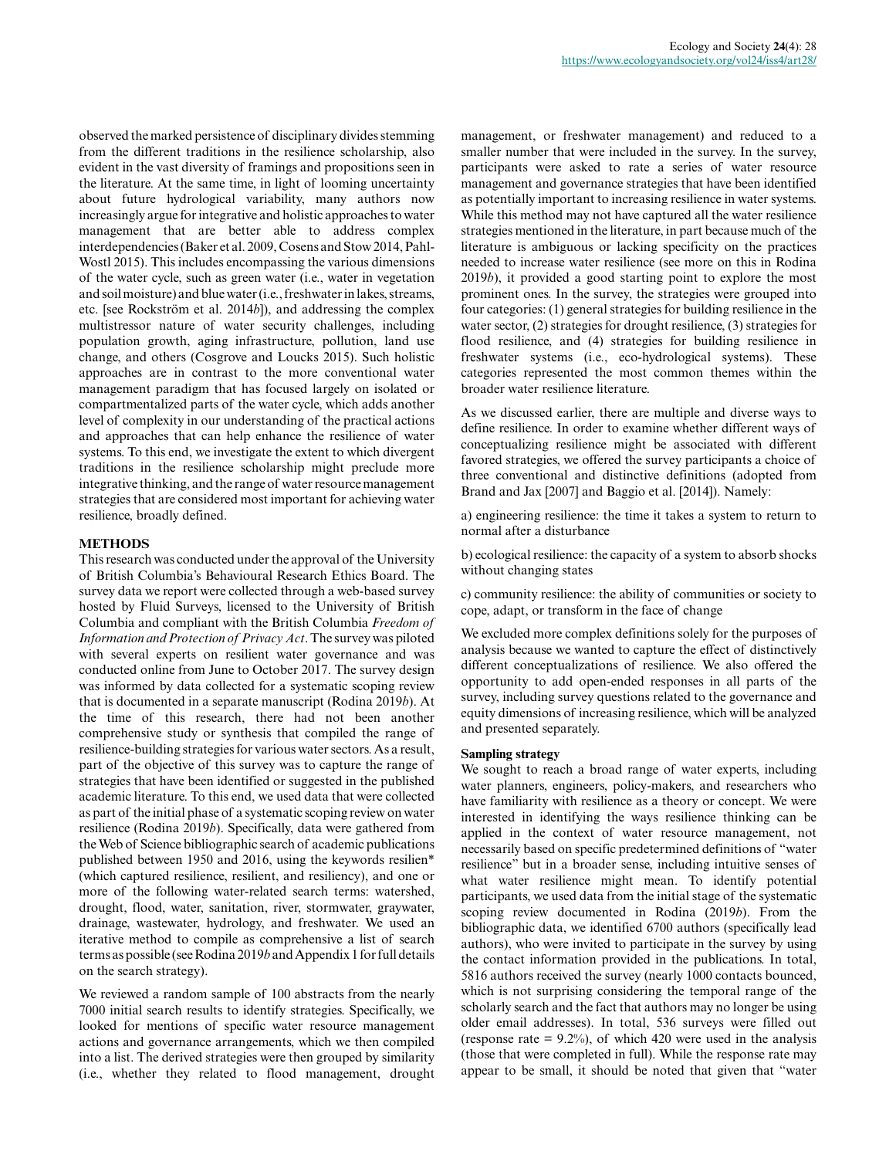observed the marked persistence of disciplinary divides stemming from the different traditions in the resilience scholarship, also evident in the vast diversity of framings and propositions seen in the literature. At the same time, in light of looming uncertainty about future hydrological variability, many authors now increasingly argue for integrative and holistic approaches to water management that are better able to address complex interdependencies (Baker et al. 2009, Cosens and Stow 2014, Pahl-Wostl 2015). This includes encompassing the various dimensions of the water cycle, such as green water (i.e., water in vegetation and soil moisture) and blue water (i.e., freshwater in lakes, streams, etc. [see Rockström et al. 2014*b*]), and addressing the complex multistressor nature of water security challenges, including population growth, aging infrastructure, pollution, land use change, and others (Cosgrove and Loucks 2015). Such holistic approaches are in contrast to the more conventional water management paradigm that has focused largely on isolated or compartmentalized parts of the water cycle, which adds another level of complexity in our understanding of the practical actions and approaches that can help enhance the resilience of water systems. To this end, we investigate the extent to which divergent traditions in the resilience scholarship might preclude more integrative thinking, and the range of water resource management strategies that are considered most important for achieving water resilience, broadly defined.

#### **METHODS**

This research was conducted under the approval of the University of British Columbia's Behavioural Research Ethics Board. The survey data we report were collected through a web-based survey hosted by Fluid Surveys, licensed to the University of British Columbia and compliant with the British Columbia *Freedom of Information and Protection of Privacy Act*. The survey was piloted with several experts on resilient water governance and was conducted online from June to October 2017. The survey design was informed by data collected for a systematic scoping review that is documented in a separate manuscript (Rodina 2019*b*). At the time of this research, there had not been another comprehensive study or synthesis that compiled the range of resilience-building strategies for various water sectors. As a result, part of the objective of this survey was to capture the range of strategies that have been identified or suggested in the published academic literature. To this end, we used data that were collected as part of the initial phase of a systematic scoping review on water resilience (Rodina 2019*b*). Specifically, data were gathered from the Web of Science bibliographic search of academic publications published between 1950 and 2016, using the keywords resilien\* (which captured resilience, resilient, and resiliency), and one or more of the following water-related search terms: watershed, drought, flood, water, sanitation, river, stormwater, graywater, drainage, wastewater, hydrology, and freshwater. We used an iterative method to compile as comprehensive a list of search terms as possible (see Rodina 2019*b* and Appendix 1 for full details on the search strategy).

We reviewed a random sample of 100 abstracts from the nearly 7000 initial search results to identify strategies. Specifically, we looked for mentions of specific water resource management actions and governance arrangements, which we then compiled into a list. The derived strategies were then grouped by similarity (i.e., whether they related to flood management, drought management, or freshwater management) and reduced to a smaller number that were included in the survey. In the survey, participants were asked to rate a series of water resource management and governance strategies that have been identified as potentially important to increasing resilience in water systems. While this method may not have captured all the water resilience strategies mentioned in the literature, in part because much of the literature is ambiguous or lacking specificity on the practices needed to increase water resilience (see more on this in Rodina 2019*b*), it provided a good starting point to explore the most prominent ones. In the survey, the strategies were grouped into four categories: (1) general strategies for building resilience in the water sector, (2) strategies for drought resilience, (3) strategies for flood resilience, and (4) strategies for building resilience in freshwater systems (i.e., eco-hydrological systems). These categories represented the most common themes within the broader water resilience literature.

As we discussed earlier, there are multiple and diverse ways to define resilience. In order to examine whether different ways of conceptualizing resilience might be associated with different favored strategies, we offered the survey participants a choice of three conventional and distinctive definitions (adopted from Brand and Jax [2007] and Baggio et al. [2014]). Namely:

a) engineering resilience: the time it takes a system to return to normal after a disturbance

b) ecological resilience: the capacity of a system to absorb shocks without changing states

c) community resilience: the ability of communities or society to cope, adapt, or transform in the face of change

We excluded more complex definitions solely for the purposes of analysis because we wanted to capture the effect of distinctively different conceptualizations of resilience. We also offered the opportunity to add open-ended responses in all parts of the survey, including survey questions related to the governance and equity dimensions of increasing resilience, which will be analyzed and presented separately.

#### **Sampling strategy**

We sought to reach a broad range of water experts, including water planners, engineers, policy-makers, and researchers who have familiarity with resilience as a theory or concept. We were interested in identifying the ways resilience thinking can be applied in the context of water resource management, not necessarily based on specific predetermined definitions of "water resilience" but in a broader sense, including intuitive senses of what water resilience might mean. To identify potential participants, we used data from the initial stage of the systematic scoping review documented in Rodina (2019*b*). From the bibliographic data, we identified 6700 authors (specifically lead authors), who were invited to participate in the survey by using the contact information provided in the publications. In total, 5816 authors received the survey (nearly 1000 contacts bounced, which is not surprising considering the temporal range of the scholarly search and the fact that authors may no longer be using older email addresses). In total, 536 surveys were filled out (response rate  $= 9.2\%$ ), of which 420 were used in the analysis (those that were completed in full). While the response rate may appear to be small, it should be noted that given that "water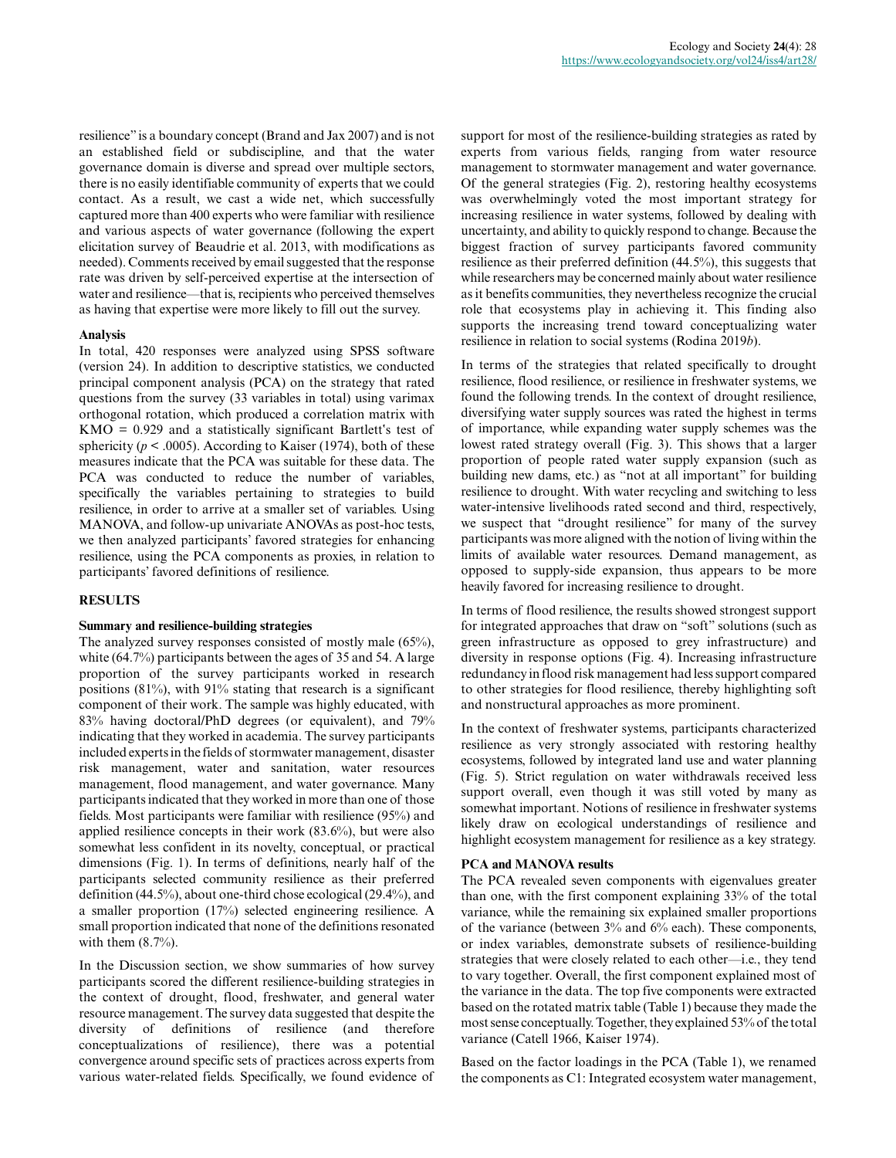resilience" is a boundary concept (Brand and Jax 2007) and is not an established field or subdiscipline, and that the water governance domain is diverse and spread over multiple sectors, there is no easily identifiable community of experts that we could contact. As a result, we cast a wide net, which successfully captured more than 400 experts who were familiar with resilience and various aspects of water governance (following the expert elicitation survey of Beaudrie et al. 2013, with modifications as needed). Comments received by email suggested that the response rate was driven by self-perceived expertise at the intersection of water and resilience—that is, recipients who perceived themselves as having that expertise were more likely to fill out the survey.

#### **Analysis**

In total, 420 responses were analyzed using SPSS software (version 24). In addition to descriptive statistics, we conducted principal component analysis (PCA) on the strategy that rated questions from the survey (33 variables in total) using varimax orthogonal rotation, which produced a correlation matrix with KMO = 0.929 and a statistically significant Bartlett's test of sphericity ( $p < .0005$ ). According to Kaiser (1974), both of these measures indicate that the PCA was suitable for these data. The PCA was conducted to reduce the number of variables, specifically the variables pertaining to strategies to build resilience, in order to arrive at a smaller set of variables. Using MANOVA, and follow-up univariate ANOVAs as post-hoc tests, we then analyzed participants' favored strategies for enhancing resilience, using the PCA components as proxies, in relation to participants' favored definitions of resilience.

#### **RESULTS**

#### **Summary and resilience-building strategies**

The analyzed survey responses consisted of mostly male (65%), white (64.7%) participants between the ages of 35 and 54. A large proportion of the survey participants worked in research positions (81%), with 91% stating that research is a significant component of their work. The sample was highly educated, with 83% having doctoral/PhD degrees (or equivalent), and 79% indicating that they worked in academia. The survey participants included experts in the fields of stormwater management, disaster risk management, water and sanitation, water resources management, flood management, and water governance. Many participants indicated that they worked in more than one of those fields. Most participants were familiar with resilience (95%) and applied resilience concepts in their work (83.6%), but were also somewhat less confident in its novelty, conceptual, or practical dimensions (Fig. 1). In terms of definitions, nearly half of the participants selected community resilience as their preferred definition (44.5%), about one-third chose ecological (29.4%), and a smaller proportion (17%) selected engineering resilience. A small proportion indicated that none of the definitions resonated with them  $(8.7\%)$ .

In the Discussion section, we show summaries of how survey participants scored the different resilience-building strategies in the context of drought, flood, freshwater, and general water resource management. The survey data suggested that despite the diversity of definitions of resilience (and therefore conceptualizations of resilience), there was a potential convergence around specific sets of practices across experts from various water-related fields. Specifically, we found evidence of

support for most of the resilience-building strategies as rated by experts from various fields, ranging from water resource management to stormwater management and water governance. Of the general strategies (Fig. 2), restoring healthy ecosystems was overwhelmingly voted the most important strategy for increasing resilience in water systems, followed by dealing with uncertainty, and ability to quickly respond to change. Because the biggest fraction of survey participants favored community resilience as their preferred definition (44.5%), this suggests that while researchers may be concerned mainly about water resilience as it benefits communities, they nevertheless recognize the crucial role that ecosystems play in achieving it. This finding also supports the increasing trend toward conceptualizing water resilience in relation to social systems (Rodina 2019*b*).

In terms of the strategies that related specifically to drought resilience, flood resilience, or resilience in freshwater systems, we found the following trends. In the context of drought resilience, diversifying water supply sources was rated the highest in terms of importance, while expanding water supply schemes was the lowest rated strategy overall (Fig. 3). This shows that a larger proportion of people rated water supply expansion (such as building new dams, etc.) as "not at all important" for building resilience to drought. With water recycling and switching to less water-intensive livelihoods rated second and third, respectively, we suspect that "drought resilience" for many of the survey participants was more aligned with the notion of living within the limits of available water resources. Demand management, as opposed to supply-side expansion, thus appears to be more heavily favored for increasing resilience to drought.

In terms of flood resilience, the results showed strongest support for integrated approaches that draw on "soft" solutions (such as green infrastructure as opposed to grey infrastructure) and diversity in response options (Fig. 4). Increasing infrastructure redundancy in flood risk management had less support compared to other strategies for flood resilience, thereby highlighting soft and nonstructural approaches as more prominent.

In the context of freshwater systems, participants characterized resilience as very strongly associated with restoring healthy ecosystems, followed by integrated land use and water planning (Fig. 5). Strict regulation on water withdrawals received less support overall, even though it was still voted by many as somewhat important. Notions of resilience in freshwater systems likely draw on ecological understandings of resilience and highlight ecosystem management for resilience as a key strategy.

#### **PCA and MANOVA results**

The PCA revealed seven components with eigenvalues greater than one, with the first component explaining 33% of the total variance, while the remaining six explained smaller proportions of the variance (between 3% and 6% each). These components, or index variables, demonstrate subsets of resilience-building strategies that were closely related to each other—i.e., they tend to vary together. Overall, the first component explained most of the variance in the data. The top five components were extracted based on the rotated matrix table (Table 1) because they made the most sense conceptually. Together, they explained 53% of the total variance (Catell 1966, Kaiser 1974).

Based on the factor loadings in the PCA (Table 1), we renamed the components as C1: Integrated ecosystem water management,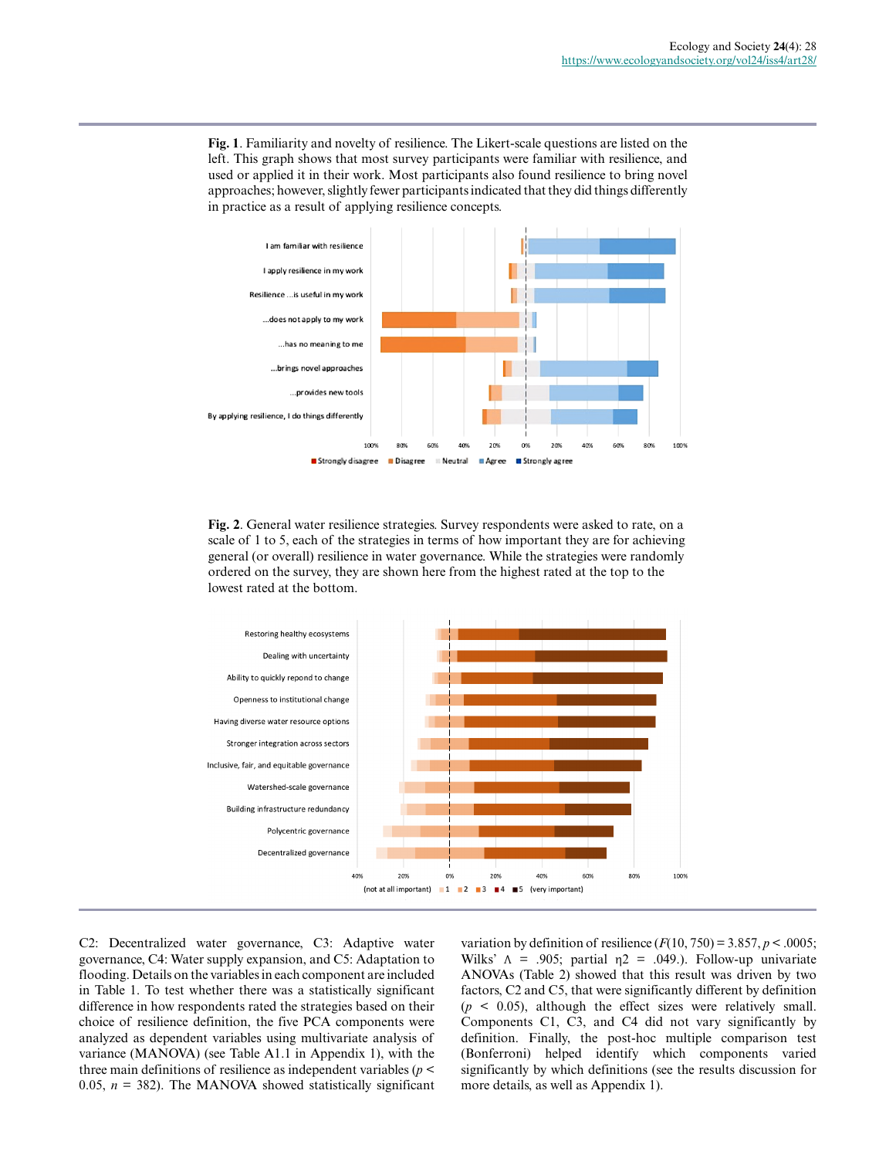**Fig. 1**. Familiarity and novelty of resilience. The Likert-scale questions are listed on the left. This graph shows that most survey participants were familiar with resilience, and used or applied it in their work. Most participants also found resilience to bring novel approaches; however, slightly fewer participants indicated that they did things differently in practice as a result of applying resilience concepts.



**Fig. 2**. General water resilience strategies. Survey respondents were asked to rate, on a scale of 1 to 5, each of the strategies in terms of how important they are for achieving general (or overall) resilience in water governance. While the strategies were randomly ordered on the survey, they are shown here from the highest rated at the top to the lowest rated at the bottom.



C2: Decentralized water governance, C3: Adaptive water governance, C4: Water supply expansion, and C5: Adaptation to flooding. Details on the variables in each component are included in Table 1. To test whether there was a statistically significant difference in how respondents rated the strategies based on their choice of resilience definition, the five PCA components were analyzed as dependent variables using multivariate analysis of variance (MANOVA) (see Table A1.1 in Appendix 1), with the three main definitions of resilience as independent variables (*p* < 0.05,  $n = 382$ ). The MANOVA showed statistically significant variation by definition of resilience  $(F(10, 750) = 3.857, p < .0005;$ Wilks'  $\Lambda$  = .905; partial  $\eta$ 2 = .049.). Follow-up univariate ANOVAs (Table 2) showed that this result was driven by two factors, C2 and C5, that were significantly different by definition  $(p \leq 0.05)$ , although the effect sizes were relatively small. Components C1, C3, and C4 did not vary significantly by definition. Finally, the post-hoc multiple comparison test (Bonferroni) helped identify which components varied significantly by which definitions (see the results discussion for more details, as well as Appendix 1).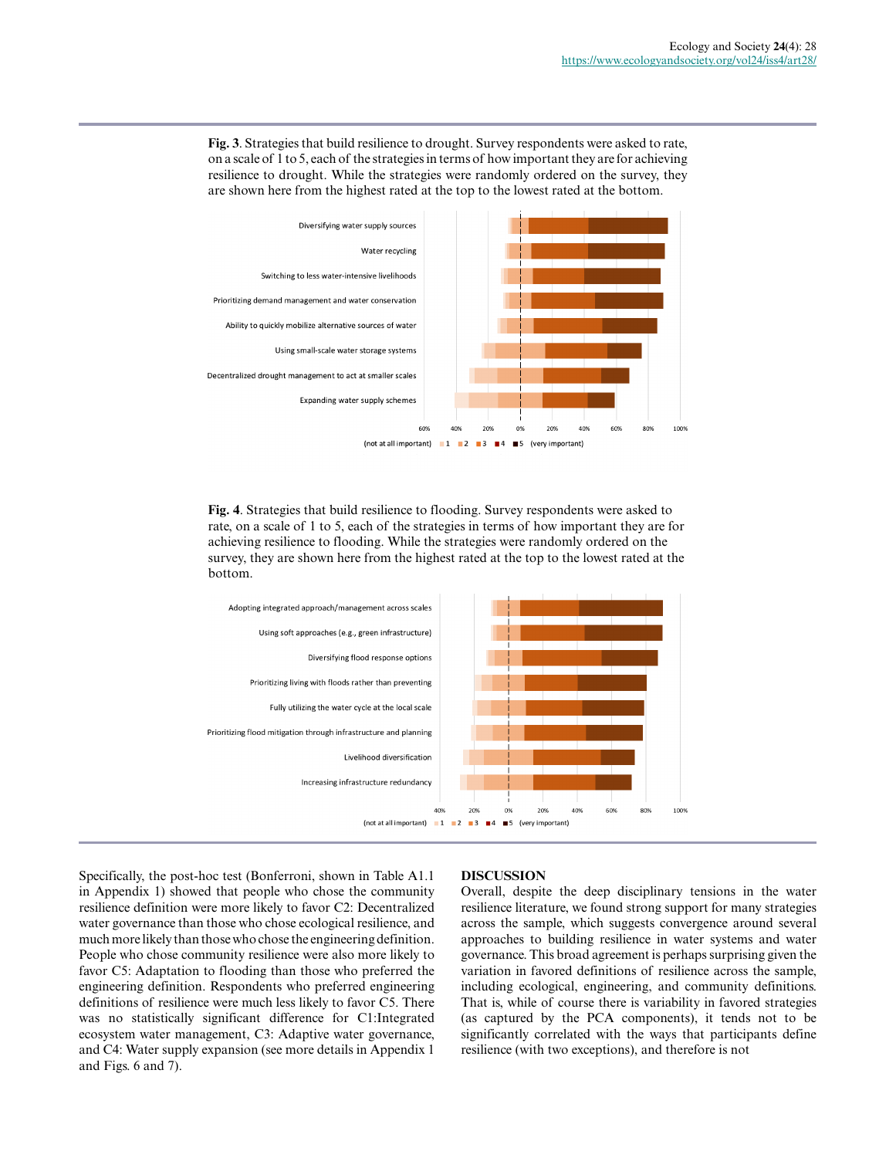**Fig. 3**. Strategies that build resilience to drought. Survey respondents were asked to rate, on a scale of 1 to 5, each of the strategies in terms of how important they are for achieving resilience to drought. While the strategies were randomly ordered on the survey, they are shown here from the highest rated at the top to the lowest rated at the bottom.



**Fig. 4**. Strategies that build resilience to flooding. Survey respondents were asked to rate, on a scale of 1 to 5, each of the strategies in terms of how important they are for achieving resilience to flooding. While the strategies were randomly ordered on the survey, they are shown here from the highest rated at the top to the lowest rated at the bottom.



Specifically, the post-hoc test (Bonferroni, shown in Table A1.1 in Appendix 1) showed that people who chose the community resilience definition were more likely to favor C2: Decentralized water governance than those who chose ecological resilience, and much more likely than those who chose the engineering definition. People who chose community resilience were also more likely to favor C5: Adaptation to flooding than those who preferred the engineering definition. Respondents who preferred engineering definitions of resilience were much less likely to favor C5. There was no statistically significant difference for C1:Integrated ecosystem water management, C3: Adaptive water governance, and C4: Water supply expansion (see more details in Appendix 1 and Figs. 6 and 7).

#### **DISCUSSION**

Overall, despite the deep disciplinary tensions in the water resilience literature, we found strong support for many strategies across the sample, which suggests convergence around several approaches to building resilience in water systems and water governance. This broad agreement is perhaps surprising given the variation in favored definitions of resilience across the sample, including ecological, engineering, and community definitions. That is, while of course there is variability in favored strategies (as captured by the PCA components), it tends not to be significantly correlated with the ways that participants define resilience (with two exceptions), and therefore is not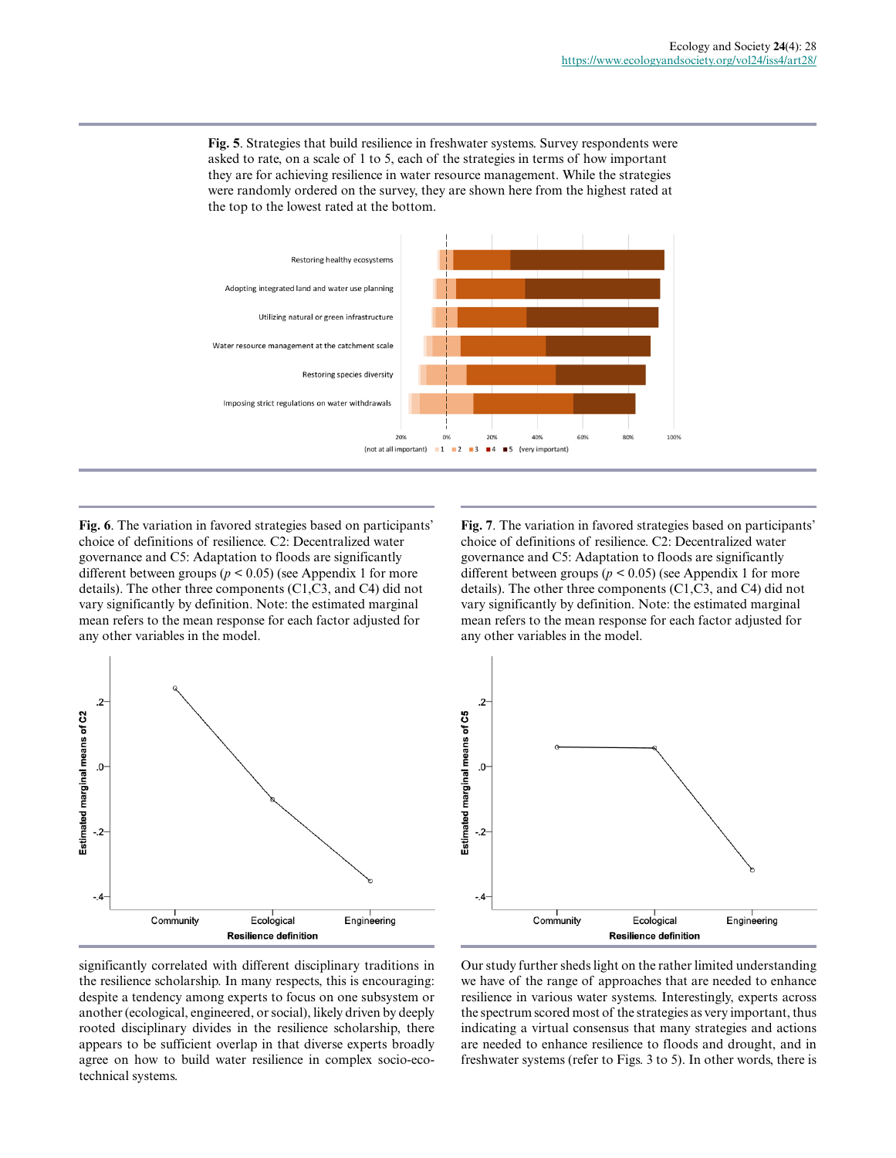**Fig. 5**. Strategies that build resilience in freshwater systems. Survey respondents were asked to rate, on a scale of 1 to 5, each of the strategies in terms of how important they are for achieving resilience in water resource management. While the strategies were randomly ordered on the survey, they are shown here from the highest rated at the top to the lowest rated at the bottom.



**Fig. 6**. The variation in favored strategies based on participants' choice of definitions of resilience. C2: Decentralized water governance and C5: Adaptation to floods are significantly different between groups ( $p < 0.05$ ) (see Appendix 1 for more details). The other three components (C1,C3, and C4) did not vary significantly by definition. Note: the estimated marginal mean refers to the mean response for each factor adjusted for any other variables in the model.



**Fig. 7**. The variation in favored strategies based on participants' choice of definitions of resilience. C2: Decentralized water governance and C5: Adaptation to floods are significantly different between groups ( $p < 0.05$ ) (see Appendix 1 for more details). The other three components (C1,C3, and C4) did not vary significantly by definition. Note: the estimated marginal mean refers to the mean response for each factor adjusted for any other variables in the model.



significantly correlated with different disciplinary traditions in the resilience scholarship. In many respects, this is encouraging: despite a tendency among experts to focus on one subsystem or another (ecological, engineered, or social), likely driven by deeply rooted disciplinary divides in the resilience scholarship, there appears to be sufficient overlap in that diverse experts broadly agree on how to build water resilience in complex socio-ecotechnical systems.

Our study further sheds light on the rather limited understanding we have of the range of approaches that are needed to enhance resilience in various water systems. Interestingly, experts across the spectrum scored most of the strategies as very important, thus indicating a virtual consensus that many strategies and actions are needed to enhance resilience to floods and drought, and in freshwater systems (refer to Figs. 3 to 5). In other words, there is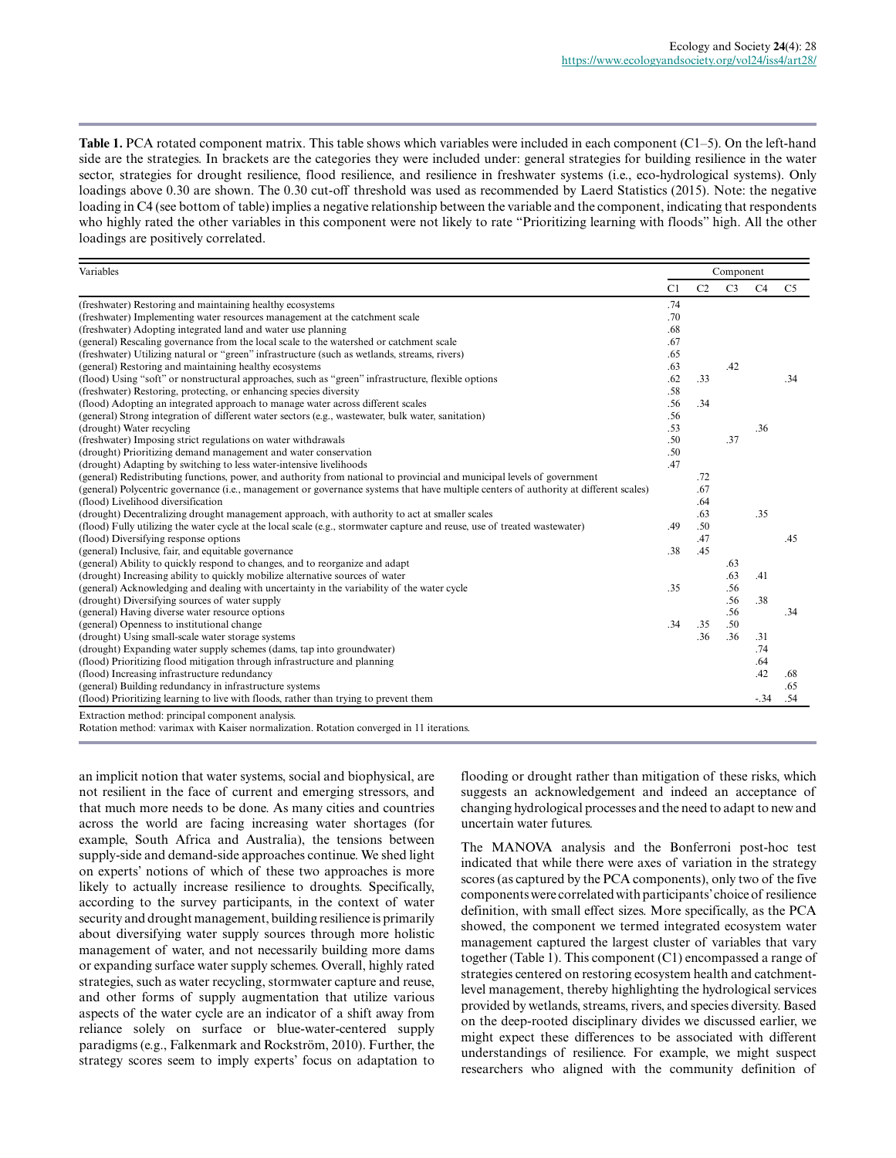**Table 1.** PCA rotated component matrix. This table shows which variables were included in each component (C1–5). On the left-hand side are the strategies. In brackets are the categories they were included under: general strategies for building resilience in the water sector, strategies for drought resilience, flood resilience, and resilience in freshwater systems (i.e., eco-hydrological systems). Only loadings above 0.30 are shown. The 0.30 cut-off threshold was used as recommended by Laerd Statistics (2015). Note: the negative loading in C4 (see bottom of table) implies a negative relationship between the variable and the component, indicating that respondents who highly rated the other variables in this component were not likely to rate "Prioritizing learning with floods" high. All the other loadings are positively correlated.

| Variables                                                                                                                                    |     | Component      |                |                |                |  |  |  |
|----------------------------------------------------------------------------------------------------------------------------------------------|-----|----------------|----------------|----------------|----------------|--|--|--|
|                                                                                                                                              | C1  | C <sub>2</sub> | C <sub>3</sub> | C <sub>4</sub> | C <sub>5</sub> |  |  |  |
| (freshwater) Restoring and maintaining healthy ecosystems                                                                                    | .74 |                |                |                |                |  |  |  |
| (freshwater) Implementing water resources management at the catchment scale                                                                  | .70 |                |                |                |                |  |  |  |
| (freshwater) Adopting integrated land and water use planning                                                                                 | .68 |                |                |                |                |  |  |  |
| (general) Rescaling governance from the local scale to the watershed or catchment scale                                                      | .67 |                |                |                |                |  |  |  |
| (freshwater) Utilizing natural or "green" infrastructure (such as wetlands, streams, rivers)                                                 | .65 |                |                |                |                |  |  |  |
| (general) Restoring and maintaining healthy ecosystems                                                                                       | .63 |                | .42            |                |                |  |  |  |
| (flood) Using "soft" or nonstructural approaches, such as "green" infrastructure, flexible options                                           | .62 | .33            |                |                | .34            |  |  |  |
| (freshwater) Restoring, protecting, or enhancing species diversity                                                                           | .58 |                |                |                |                |  |  |  |
| (flood) Adopting an integrated approach to manage water across different scales                                                              | .56 | .34            |                |                |                |  |  |  |
| (general) Strong integration of different water sectors (e.g., wastewater, bulk water, sanitation)                                           | .56 |                |                |                |                |  |  |  |
| (drought) Water recycling                                                                                                                    | .53 |                |                | .36            |                |  |  |  |
| (freshwater) Imposing strict regulations on water withdrawals                                                                                | .50 |                | .37            |                |                |  |  |  |
| (drought) Prioritizing demand management and water conservation                                                                              | .50 |                |                |                |                |  |  |  |
| (drought) Adapting by switching to less water-intensive livelihoods                                                                          | .47 |                |                |                |                |  |  |  |
| (general) Redistributing functions, power, and authority from national to provincial and municipal levels of government                      |     | .72            |                |                |                |  |  |  |
| (general) Polycentric governance (i.e., management or governance systems that have multiple centers of authority at different scales)        |     | .67            |                |                |                |  |  |  |
| (flood) Livelihood diversification                                                                                                           |     | .64            |                |                |                |  |  |  |
| (drought) Decentralizing drought management approach, with authority to act at smaller scales                                                |     | .63            |                | .35            |                |  |  |  |
| (flood) Fully utilizing the water cycle at the local scale (e.g., stormwater capture and reuse, use of treated wastewater)                   | .49 | .50            |                |                |                |  |  |  |
| (flood) Diversifying response options                                                                                                        |     | .47            |                |                | .45            |  |  |  |
| (general) Inclusive, fair, and equitable governance                                                                                          | .38 | .45            |                |                |                |  |  |  |
| (general) Ability to quickly respond to changes, and to reorganize and adapt                                                                 |     |                | .63            |                |                |  |  |  |
| (drought) Increasing ability to quickly mobilize alternative sources of water                                                                |     |                | .63            | .41            |                |  |  |  |
| (general) Acknowledging and dealing with uncertainty in the variability of the water cycle                                                   | .35 |                | .56            |                |                |  |  |  |
| (drought) Diversifying sources of water supply                                                                                               |     |                | .56            | .38            |                |  |  |  |
| (general) Having diverse water resource options                                                                                              |     |                | .56            |                | .34            |  |  |  |
| (general) Openness to institutional change                                                                                                   | .34 | .35            | .50            |                |                |  |  |  |
| (drought) Using small-scale water storage systems                                                                                            |     | .36            | .36            | .31            |                |  |  |  |
| (drought) Expanding water supply schemes (dams, tap into groundwater)                                                                        |     |                |                | .74            |                |  |  |  |
| (flood) Prioritizing flood mitigation through infrastructure and planning                                                                    |     |                |                | .64            |                |  |  |  |
| (flood) Increasing infrastructure redundancy                                                                                                 |     |                |                | .42            | .68            |  |  |  |
| (general) Building redundancy in infrastructure systems                                                                                      |     |                |                |                | .65            |  |  |  |
| (flood) Prioritizing learning to live with floods, rather than trying to prevent them                                                        |     |                |                | $-.34$         | .54            |  |  |  |
| Extraction method: principal component analysis.<br>Rotation method: varimax with Kaiser normalization. Rotation converged in 11 iterations. |     |                |                |                |                |  |  |  |

an implicit notion that water systems, social and biophysical, are not resilient in the face of current and emerging stressors, and that much more needs to be done. As many cities and countries across the world are facing increasing water shortages (for example, South Africa and Australia), the tensions between supply-side and demand-side approaches continue. We shed light on experts' notions of which of these two approaches is more likely to actually increase resilience to droughts. Specifically, according to the survey participants, in the context of water security and drought management, building resilience is primarily about diversifying water supply sources through more holistic management of water, and not necessarily building more dams or expanding surface water supply schemes. Overall, highly rated strategies, such as water recycling, stormwater capture and reuse, and other forms of supply augmentation that utilize various aspects of the water cycle are an indicator of a shift away from reliance solely on surface or blue-water-centered supply paradigms (e.g., Falkenmark and Rockström, 2010). Further, the strategy scores seem to imply experts' focus on adaptation to

flooding or drought rather than mitigation of these risks, which suggests an acknowledgement and indeed an acceptance of changing hydrological processes and the need to adapt to new and uncertain water futures.

The MANOVA analysis and the Bonferroni post-hoc test indicated that while there were axes of variation in the strategy scores (as captured by the PCA components), only two of the five components were correlated with participants' choice of resilience definition, with small effect sizes. More specifically, as the PCA showed, the component we termed integrated ecosystem water management captured the largest cluster of variables that vary together (Table 1). This component (C1) encompassed a range of strategies centered on restoring ecosystem health and catchmentlevel management, thereby highlighting the hydrological services provided by wetlands, streams, rivers, and species diversity. Based on the deep-rooted disciplinary divides we discussed earlier, we might expect these differences to be associated with different understandings of resilience. For example, we might suspect researchers who aligned with the community definition of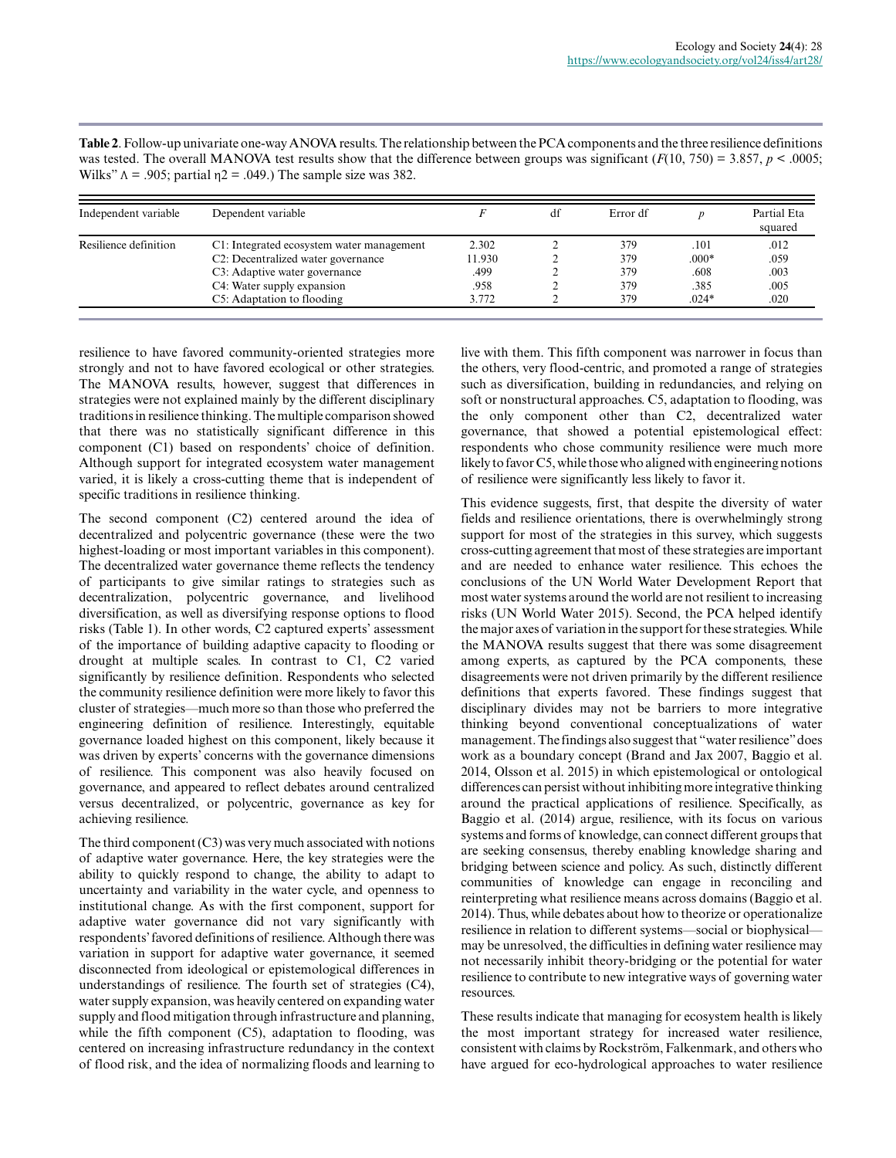| Independent variable  | Dependent variable                              |        | df | Error df |         | Partial Eta<br>squared |
|-----------------------|-------------------------------------------------|--------|----|----------|---------|------------------------|
| Resilience definition | C1: Integrated ecosystem water management       | 2.302  |    | 379      | .101    | .012                   |
|                       | C <sub>2</sub> : Decentralized water governance | 11.930 |    | 379      | $.000*$ | .059                   |
|                       | C3: Adaptive water governance                   | .499   |    | 379      | .608    | .003                   |
|                       | C4: Water supply expansion                      | .958   |    | 379      | .385    | .005                   |
|                       | C5: Adaptation to flooding                      | 3.772  |    | 379      | $.024*$ | .020                   |

**Table 2**. Follow-up univariate one-way ANOVA results. The relationship between the PCA components and the three resilience definitions was tested. The overall MANOVA test results show that the difference between groups was significant  $(F(10, 750) = 3.857, p < .0005;$ Wilks"  $\Lambda$  = .905; partial  $\eta$ 2 = .049.) The sample size was 382.

resilience to have favored community-oriented strategies more strongly and not to have favored ecological or other strategies. The MANOVA results, however, suggest that differences in strategies were not explained mainly by the different disciplinary traditions in resilience thinking. The multiple comparison showed that there was no statistically significant difference in this component (C1) based on respondents' choice of definition. Although support for integrated ecosystem water management varied, it is likely a cross-cutting theme that is independent of specific traditions in resilience thinking.

The second component (C2) centered around the idea of decentralized and polycentric governance (these were the two highest-loading or most important variables in this component). The decentralized water governance theme reflects the tendency of participants to give similar ratings to strategies such as decentralization, polycentric governance, and livelihood diversification, as well as diversifying response options to flood risks (Table 1). In other words, C2 captured experts' assessment of the importance of building adaptive capacity to flooding or drought at multiple scales. In contrast to C1, C2 varied significantly by resilience definition. Respondents who selected the community resilience definition were more likely to favor this cluster of strategies—much more so than those who preferred the engineering definition of resilience. Interestingly, equitable governance loaded highest on this component, likely because it was driven by experts' concerns with the governance dimensions of resilience. This component was also heavily focused on governance, and appeared to reflect debates around centralized versus decentralized, or polycentric, governance as key for achieving resilience.

The third component  $(C3)$  was very much associated with notions of adaptive water governance. Here, the key strategies were the ability to quickly respond to change, the ability to adapt to uncertainty and variability in the water cycle, and openness to institutional change. As with the first component, support for adaptive water governance did not vary significantly with respondents' favored definitions of resilience. Although there was variation in support for adaptive water governance, it seemed disconnected from ideological or epistemological differences in understandings of resilience. The fourth set of strategies (C4), water supply expansion, was heavily centered on expanding water supply and flood mitigation through infrastructure and planning, while the fifth component (C5), adaptation to flooding, was centered on increasing infrastructure redundancy in the context of flood risk, and the idea of normalizing floods and learning to

live with them. This fifth component was narrower in focus than the others, very flood-centric, and promoted a range of strategies such as diversification, building in redundancies, and relying on soft or nonstructural approaches. C5, adaptation to flooding, was the only component other than C2, decentralized water governance, that showed a potential epistemological effect: respondents who chose community resilience were much more likely to favor C5, while those who aligned with engineering notions of resilience were significantly less likely to favor it.

This evidence suggests, first, that despite the diversity of water fields and resilience orientations, there is overwhelmingly strong support for most of the strategies in this survey, which suggests cross-cutting agreement that most of these strategies are important and are needed to enhance water resilience. This echoes the conclusions of the UN World Water Development Report that most water systems around the world are not resilient to increasing risks (UN World Water 2015). Second, the PCA helped identify the major axes of variation in the support for these strategies. While the MANOVA results suggest that there was some disagreement among experts, as captured by the PCA components, these disagreements were not driven primarily by the different resilience definitions that experts favored. These findings suggest that disciplinary divides may not be barriers to more integrative thinking beyond conventional conceptualizations of water management. The findings also suggest that "water resilience" does work as a boundary concept (Brand and Jax 2007, Baggio et al. 2014, Olsson et al. 2015) in which epistemological or ontological differences can persist without inhibiting more integrative thinking around the practical applications of resilience. Specifically, as Baggio et al. (2014) argue, resilience, with its focus on various systems and forms of knowledge, can connect different groups that are seeking consensus, thereby enabling knowledge sharing and bridging between science and policy. As such, distinctly different communities of knowledge can engage in reconciling and reinterpreting what resilience means across domains (Baggio et al. 2014). Thus, while debates about how to theorize or operationalize resilience in relation to different systems—social or biophysical may be unresolved, the difficulties in defining water resilience may not necessarily inhibit theory-bridging or the potential for water resilience to contribute to new integrative ways of governing water resources.

These results indicate that managing for ecosystem health is likely the most important strategy for increased water resilience, consistent with claims by Rockström, Falkenmark, and others who have argued for eco-hydrological approaches to water resilience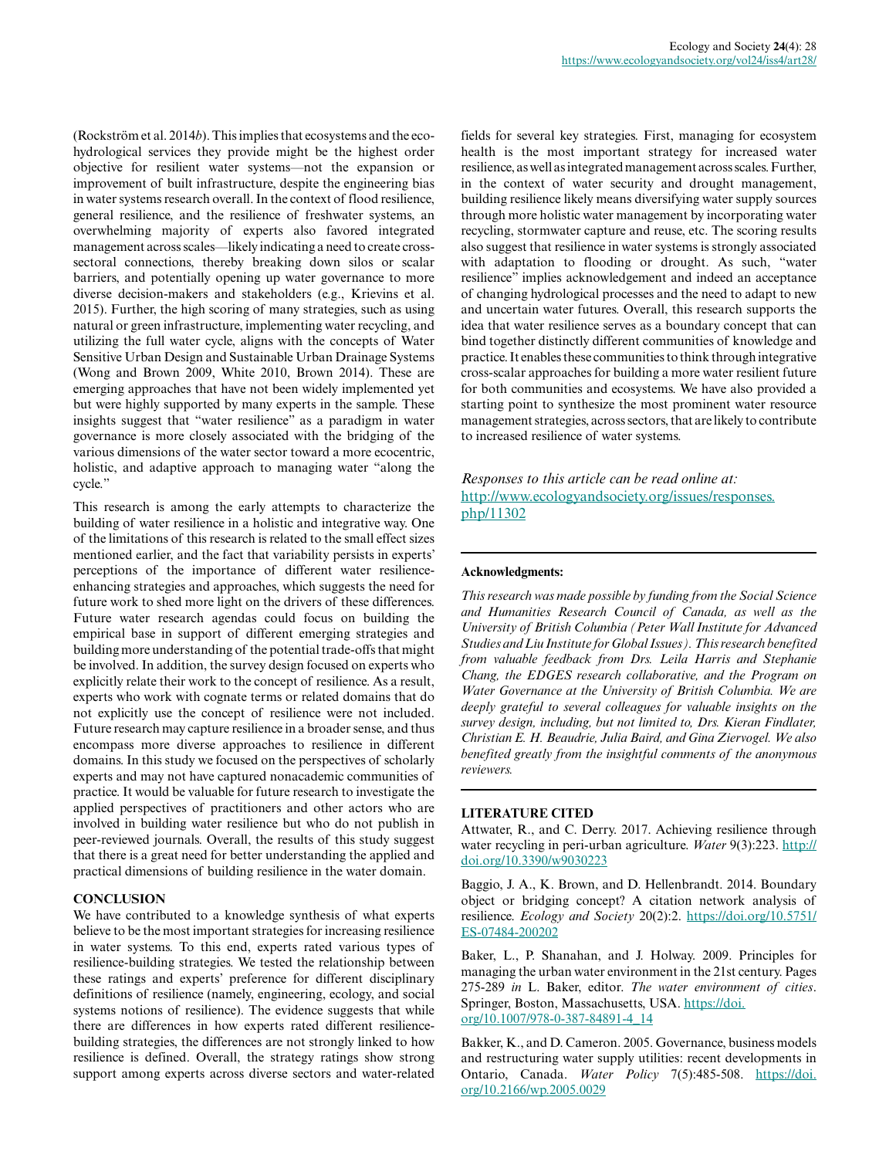(Rockström et al. 2014*b*). This implies that ecosystems and the ecohydrological services they provide might be the highest order objective for resilient water systems—not the expansion or improvement of built infrastructure, despite the engineering bias in water systems research overall. In the context of flood resilience, general resilience, and the resilience of freshwater systems, an overwhelming majority of experts also favored integrated management across scales—likely indicating a need to create crosssectoral connections, thereby breaking down silos or scalar barriers, and potentially opening up water governance to more diverse decision-makers and stakeholders (e.g., Krievins et al. 2015). Further, the high scoring of many strategies, such as using natural or green infrastructure, implementing water recycling, and utilizing the full water cycle, aligns with the concepts of Water Sensitive Urban Design and Sustainable Urban Drainage Systems (Wong and Brown 2009, White 2010, Brown 2014). These are emerging approaches that have not been widely implemented yet but were highly supported by many experts in the sample. These insights suggest that "water resilience" as a paradigm in water governance is more closely associated with the bridging of the various dimensions of the water sector toward a more ecocentric, holistic, and adaptive approach to managing water "along the cycle."

This research is among the early attempts to characterize the building of water resilience in a holistic and integrative way. One of the limitations of this research is related to the small effect sizes mentioned earlier, and the fact that variability persists in experts' perceptions of the importance of different water resilienceenhancing strategies and approaches, which suggests the need for future work to shed more light on the drivers of these differences. Future water research agendas could focus on building the empirical base in support of different emerging strategies and building more understanding of the potential trade-offs that might be involved. In addition, the survey design focused on experts who explicitly relate their work to the concept of resilience. As a result, experts who work with cognate terms or related domains that do not explicitly use the concept of resilience were not included. Future research may capture resilience in a broader sense, and thus encompass more diverse approaches to resilience in different domains. In this study we focused on the perspectives of scholarly experts and may not have captured nonacademic communities of practice. It would be valuable for future research to investigate the applied perspectives of practitioners and other actors who are involved in building water resilience but who do not publish in peer-reviewed journals. Overall, the results of this study suggest that there is a great need for better understanding the applied and practical dimensions of building resilience in the water domain.

#### **CONCLUSION**

We have contributed to a knowledge synthesis of what experts believe to be the most important strategies for increasing resilience in water systems. To this end, experts rated various types of resilience-building strategies. We tested the relationship between these ratings and experts' preference for different disciplinary definitions of resilience (namely, engineering, ecology, and social systems notions of resilience). The evidence suggests that while there are differences in how experts rated different resiliencebuilding strategies, the differences are not strongly linked to how resilience is defined. Overall, the strategy ratings show strong support among experts across diverse sectors and water-related

fields for several key strategies. First, managing for ecosystem health is the most important strategy for increased water resilience, as well as integrated management across scales. Further, in the context of water security and drought management, building resilience likely means diversifying water supply sources through more holistic water management by incorporating water recycling, stormwater capture and reuse, etc. The scoring results also suggest that resilience in water systems is strongly associated with adaptation to flooding or drought. As such, "water resilience" implies acknowledgement and indeed an acceptance of changing hydrological processes and the need to adapt to new and uncertain water futures. Overall, this research supports the idea that water resilience serves as a boundary concept that can bind together distinctly different communities of knowledge and practice. It enables these communities to think through integrative cross-scalar approaches for building a more water resilient future for both communities and ecosystems. We have also provided a starting point to synthesize the most prominent water resource management strategies, across sectors, that are likely to contribute to increased resilience of water systems.

*Responses to this article can be read online at:* [http://www.ecologyandsociety.org/issues/responses.](http://www.ecologyandsociety.org/issues/responses.php/11302) [php/11302](http://www.ecologyandsociety.org/issues/responses.php/11302)

#### **Acknowledgments:**

*This research was made possible by funding from the Social Science and Humanities Research Council of Canada, as well as the University of British Columbia (Peter Wall Institute for Advanced Studies and Liu Institute for Global Issues). This research benefited from valuable feedback from Drs. Leila Harris and Stephanie Chang, the EDGES research collaborative, and the Program on Water Governance at the University of British Columbia. We are deeply grateful to several colleagues for valuable insights on the survey design, including, but not limited to, Drs. Kieran Findlater, Christian E. H. Beaudrie, Julia Baird, and Gina Ziervogel. We also benefited greatly from the insightful comments of the anonymous reviewers.*

#### **LITERATURE CITED**

Attwater, R., and C. Derry. 2017. Achieving resilience through water recycling in peri-urban agriculture. *Water* 9(3):223. [http://](http://doi.org/10.3390/w9030223) [doi.org/10.3390/w9030223](http://doi.org/10.3390/w9030223) 

Baggio, J. A., K. Brown, and D. Hellenbrandt. 2014. Boundary object or bridging concept? A citation network analysis of resilience. *Ecology and Society* 20(2):2. [https://doi.org/10.5751/](https://doi.org/10.5751/ES-07484-200202) [ES-07484-200202](https://doi.org/10.5751/ES-07484-200202)

Baker, L., P. Shanahan, and J. Holway. 2009. Principles for managing the urban water environment in the 21st century. Pages 275-289 *in* L. Baker, editor. *The water environment of cities*. Springer, Boston, Massachusetts, USA. [https://doi.](https://doi.org/10.1007/978-0-387-84891-4_14) [org/10.1007/978-0-387-84891-4\\_14](https://doi.org/10.1007/978-0-387-84891-4_14)

Bakker, K., and D. Cameron. 2005. Governance, business models and restructuring water supply utilities: recent developments in Ontario, Canada. *Water Policy* 7(5):485-508. [https://doi.](https://doi.org/10.2166/wp.2005.0029) [org/10.2166/wp.2005.0029](https://doi.org/10.2166/wp.2005.0029)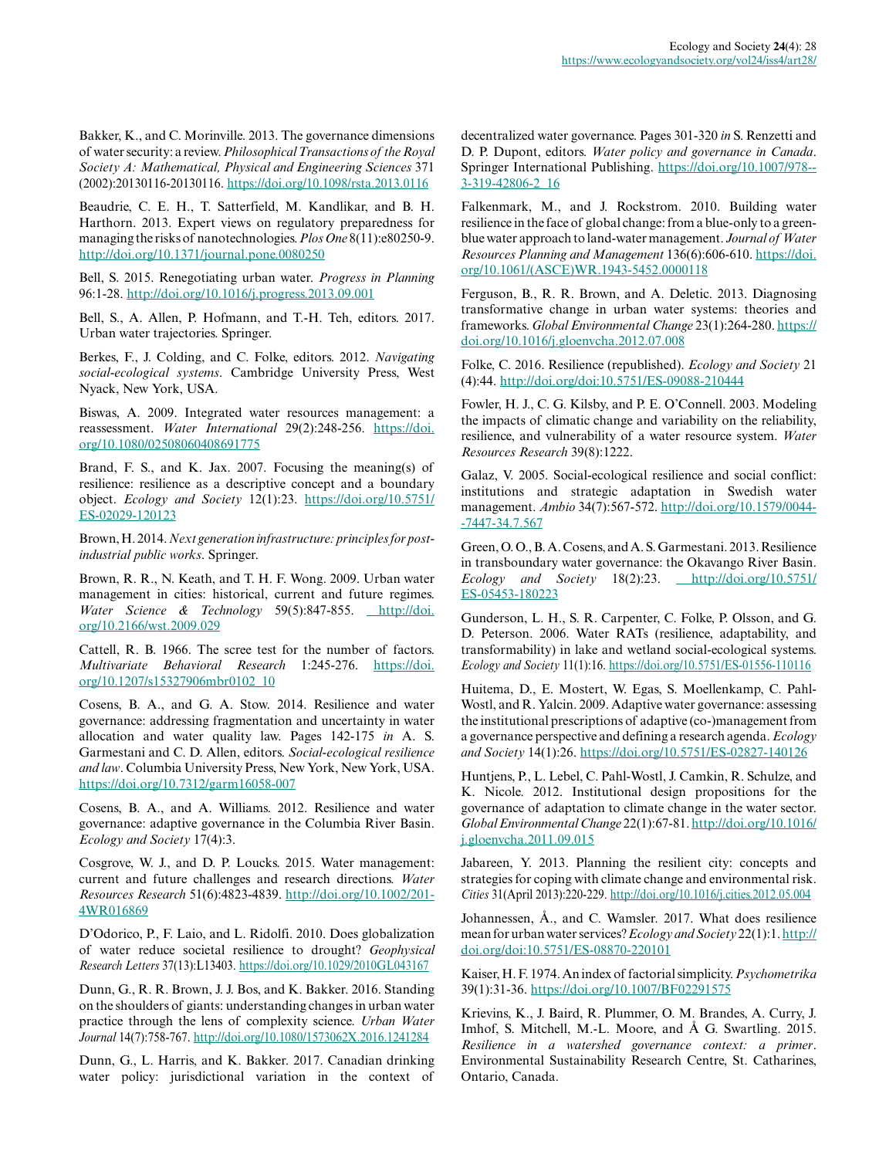Bakker, K., and C. Morinville. 2013. The governance dimensions of water security: a review. *Philosophical Transactions of the Royal Society A: Mathematical, Physical and Engineering Sciences* 371 (2002):20130116-20130116.<https://doi.org/10.1098/rsta.2013.0116>

Beaudrie, C. E. H., T. Satterfield, M. Kandlikar, and B. H. Harthorn. 2013. Expert views on regulatory preparedness for managing the risks of nanotechnologies. *Plos One* 8(11):e80250-9. <http://doi.org/10.1371/journal.pone.0080250>

Bell, S. 2015. Renegotiating urban water. *Progress in Planning* 96:1-28. <http://doi.org/10.1016/j.progress.2013.09.001>

Bell, S., A. Allen, P. Hofmann, and T.-H. Teh, editors. 2017. Urban water trajectories. Springer.

Berkes, F., J. Colding, and C. Folke, editors. 2012. *Navigating social-ecological systems*. Cambridge University Press, West Nyack, New York, USA.

Biswas, A. 2009. Integrated water resources management: a reassessment. *Water International* 29(2):248-256. [https://doi.](https://doi.org/10.1080/02508060408691775) [org/10.1080/02508060408691775](https://doi.org/10.1080/02508060408691775) 

Brand, F. S., and K. Jax. 2007. Focusing the meaning(s) of resilience: resilience as a descriptive concept and a boundary object. *Ecology and Society* 12(1):23. [https://doi.org/10.5751/](https://doi.org/10.5751/ES-02029-120123) [ES-02029-120123](https://doi.org/10.5751/ES-02029-120123)

Brown, H. 2014. *Next generation infrastructure: principles for postindustrial public works*. Springer.

Brown, R. R., N. Keath, and T. H. F. Wong. 2009. Urban water management in cities: historical, current and future regimes. *Water Science & Technology* 59(5):847-855. [http://doi.](http://doi.org/10.2166/wst.2009.029) [org/10.2166/wst.2009.029](http://doi.org/10.2166/wst.2009.029)

Cattell, R. B. 1966. The scree test for the number of factors. *Multivariate Behavioral Research* 1:245-276. [https://doi.](https://doi.org/10.1207/s15327906mbr0102_10) [org/10.1207/s15327906mbr0102\\_10](https://doi.org/10.1207/s15327906mbr0102_10) 

Cosens, B. A., and G. A. Stow. 2014. Resilience and water governance: addressing fragmentation and uncertainty in water allocation and water quality law. Pages 142-175 *in* A. S. Garmestani and C. D. Allen, editors. *Social-ecological resilience and law*. Columbia University Press, New York, New York, USA. <https://doi.org/10.7312/garm16058-007>

Cosens, B. A., and A. Williams. 2012. Resilience and water governance: adaptive governance in the Columbia River Basin. *Ecology and Society* 17(4):3.

Cosgrove, W. J., and D. P. Loucks. 2015. Water management: current and future challenges and research directions. *Water Resources Research* 51(6):4823-4839. [http://doi.org/10.1002/201](http://doi.org/10.1002/2014WR016869) [4WR016869](http://doi.org/10.1002/2014WR016869)

D'Odorico, P., F. Laio, and L. Ridolfi. 2010. Does globalization of water reduce societal resilience to drought? *Geophysical Research Letters* 37(13):L13403.<https://doi.org/10.1029/2010GL043167>

Dunn, G., R. R. Brown, J. J. Bos, and K. Bakker. 2016. Standing on the shoulders of giants: understanding changes in urban water practice through the lens of complexity science. *Urban Water Journal* 14(7):758-767.<http://doi.org/10.1080/1573062X.2016.1241284>

Dunn, G., L. Harris, and K. Bakker. 2017. Canadian drinking water policy: jurisdictional variation in the context of decentralized water governance. Pages 301-320 *in* S. Renzetti and D. P. Dupont, editors. *Water policy and governance in Canada*. Springer International Publishing. [https://doi.org/10.1007/978-](https://doi.org/10.1007/978-3-319-42806-2_16) [3-319-42806-2\\_16](https://doi.org/10.1007/978-3-319-42806-2_16)

Falkenmark, M., and J. Rockstrom. 2010. Building water resilience in the face of global change: from a blue-only to a greenblue water approach to land-water management. *Journal of Water Resources Planning and Management* 136(6):606-610. [https://doi.](https://doi.org/10.1061/(ASCE)WR.1943-5452.0000118) [org/10.1061/\(ASCE\)WR.1943-5452.0000118](https://doi.org/10.1061/(ASCE)WR.1943-5452.0000118) 

Ferguson, B., R. R. Brown, and A. Deletic. 2013. Diagnosing transformative change in urban water systems: theories and frameworks. *Global Environmental Change* 23(1):264-280. [https://](https://doi.org/10.1016/j.gloenvcha.2012.07.008) [doi.org/10.1016/j.gloenvcha.2012.07.008](https://doi.org/10.1016/j.gloenvcha.2012.07.008) 

Folke, C. 2016. Resilience (republished). *Ecology and Society* 21 (4):44. <http://doi.org/doi:10.5751/ES-09088-210444>

Fowler, H. J., C. G. Kilsby, and P. E. O'Connell. 2003. Modeling the impacts of climatic change and variability on the reliability, resilience, and vulnerability of a water resource system. *Water Resources Research* 39(8):1222.

Galaz, V. 2005. Social-ecological resilience and social conflict: institutions and strategic adaptation in Swedish water management. *Ambio* 34(7):567-572. [http://doi.org/10.1579/0044](http://doi.org/10.1579/0044-7447-34.7.567) [-7447-34.7.567](http://doi.org/10.1579/0044-7447-34.7.567) 

Green, O. O., B. A. Cosens, and A. S. Garmestani. 2013. Resilience in transboundary water governance: the Okavango River Basin. *Ecology and Society* 18(2):23. *[http://doi.org/10.5751/](http://doi.org/10.5751/ES-05453-180223)* [ES-05453-180223](http://doi.org/10.5751/ES-05453-180223)

Gunderson, L. H., S. R. Carpenter, C. Folke, P. Olsson, and G. D. Peterson. 2006. Water RATs (resilience, adaptability, and transformability) in lake and wetland social-ecological systems. *Ecology and Society* 11(1):16.<https://doi.org/10.5751/ES-01556-110116>

Huitema, D., E. Mostert, W. Egas, S. Moellenkamp, C. Pahl-Wostl, and R. Yalcin. 2009. Adaptive water governance: assessing the institutional prescriptions of adaptive (co-)management from a governance perspective and defining a research agenda. *Ecology and Society* 14(1):26.<https://doi.org/10.5751/ES-02827-140126>

Huntjens, P., L. Lebel, C. Pahl-Wostl, J. Camkin, R. Schulze, and K. Nicole. 2012. Institutional design propositions for the governance of adaptation to climate change in the water sector. *Global Environmental Change* 22(1):67-81. [http://doi.org/10.1016/](http://doi.org/10.1016/j.gloenvcha.2011.09.015) [j.gloenvcha.2011.09.015](http://doi.org/10.1016/j.gloenvcha.2011.09.015) 

Jabareen, Y. 2013. Planning the resilient city: concepts and strategies for coping with climate change and environmental risk. *Cities* 31(April 2013):220-229. <http://doi.org/10.1016/j.cities.2012.05.004>

Johannessen, Å., and C. Wamsler. 2017. What does resilience mean for urban water services? *Ecology and Society* 22(1):1. [http://](http://doi.org/doi:10.5751/ES-08870-220101) [doi.org/doi:10.5751/ES-08870-220101](http://doi.org/doi:10.5751/ES-08870-220101)

Kaiser, H. F. 1974. An index of factorial simplicity. *Psychometrika* 39(1):31-36. <https://doi.org/10.1007/BF02291575>

Krievins, K., J. Baird, R. Plummer, O. M. Brandes, A. Curry, J. Imhof, S. Mitchell, M.-L. Moore, and Å G. Swartling. 2015. *Resilience in a watershed governance context: a primer*. Environmental Sustainability Research Centre, St. Catharines, Ontario, Canada.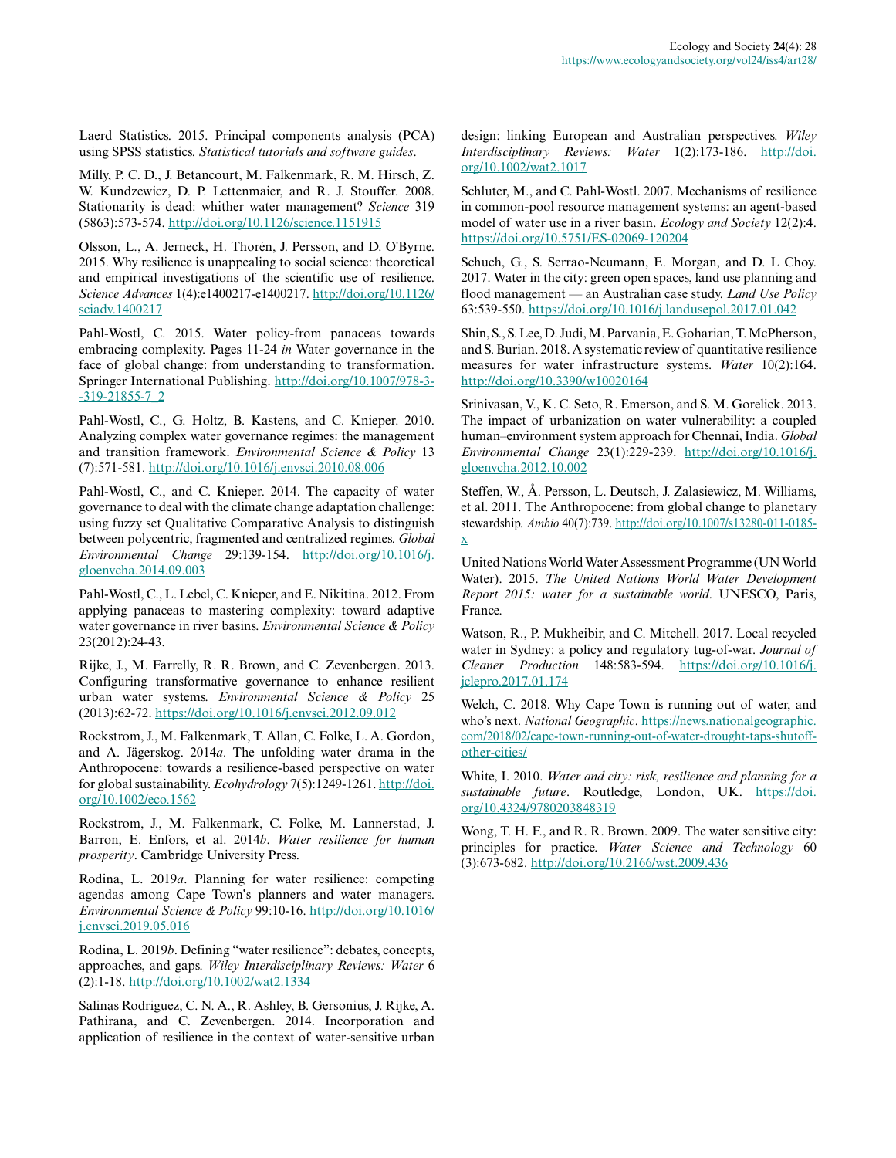Laerd Statistics. 2015. Principal components analysis (PCA) using SPSS statistics. *Statistical tutorials and software guides*.

Milly, P. C. D., J. Betancourt, M. Falkenmark, R. M. Hirsch, Z. W. Kundzewicz, D. P. Lettenmaier, and R. J. Stouffer. 2008. Stationarity is dead: whither water management? *Science* 319 (5863):573-574.<http://doi.org/10.1126/science.1151915>

Olsson, L., A. Jerneck, H. Thorén, J. Persson, and D. O'Byrne. 2015. Why resilience is unappealing to social science: theoretical and empirical investigations of the scientific use of resilience. *Science Advances* 1(4):e1400217-e1400217. [http://doi.org/10.1126/](http://doi.org/10.1126/sciadv.1400217) [sciadv.1400217](http://doi.org/10.1126/sciadv.1400217) 

Pahl-Wostl, C. 2015. Water policy-from panaceas towards embracing complexity. Pages 11-24 *in* Water governance in the face of global change: from understanding to transformation. Springer International Publishing. [http://doi.org/10.1007/978-3](http://doi.org/10.1007/978-3-319-21855-7_2) [-319-21855-7\\_2](http://doi.org/10.1007/978-3-319-21855-7_2)

Pahl-Wostl, C., G. Holtz, B. Kastens, and C. Knieper. 2010. Analyzing complex water governance regimes: the management and transition framework. *Environmental Science & Policy* 13 (7):571-581. <http://doi.org/10.1016/j.envsci.2010.08.006>

Pahl-Wostl, C., and C. Knieper. 2014. The capacity of water governance to deal with the climate change adaptation challenge: using fuzzy set Qualitative Comparative Analysis to distinguish between polycentric, fragmented and centralized regimes. *Global Environmental Change* 29:139-154. [http://doi.org/10.1016/j.](http://doi.org/10.1016/j.gloenvcha.2014.09.003) [gloenvcha.2014.09.003](http://doi.org/10.1016/j.gloenvcha.2014.09.003)

Pahl-Wostl, C., L. Lebel, C. Knieper, and E. Nikitina. 2012. From applying panaceas to mastering complexity: toward adaptive water governance in river basins. *Environmental Science & Policy* 23(2012):24-43.

Rijke, J., M. Farrelly, R. R. Brown, and C. Zevenbergen. 2013. Configuring transformative governance to enhance resilient urban water systems. *Environmental Science & Policy* 25 (2013):62-72.<https://doi.org/10.1016/j.envsci.2012.09.012>

Rockstrom, J., M. Falkenmark, T. Allan, C. Folke, L. A. Gordon, and A. Jägerskog. 2014*a*. The unfolding water drama in the Anthropocene: towards a resilience-based perspective on water for global sustainability. *Ecohydrology* 7(5):1249-1261. [http://doi.](http://doi.org/10.1002/eco.1562) [org/10.1002/eco.1562](http://doi.org/10.1002/eco.1562)

Rockstrom, J., M. Falkenmark, C. Folke, M. Lannerstad, J. Barron, E. Enfors, et al. 2014*b*. *Water resilience for human prosperity*. Cambridge University Press.

Rodina, L. 2019*a*. Planning for water resilience: competing agendas among Cape Town's planners and water managers. *Environmental Science & Policy* 99:10-16. [http://doi.org/10.1016/](http://doi.org/10.1016/j.envsci.2019.05.016) [j.envsci.2019.05.016](http://doi.org/10.1016/j.envsci.2019.05.016) 

Rodina, L. 2019*b*. Defining "water resilience": debates, concepts, approaches, and gaps. *Wiley Interdisciplinary Reviews: Water* 6 (2):1-18.<http://doi.org/10.1002/wat2.1334>

Salinas Rodriguez, C. N. A., R. Ashley, B. Gersonius, J. Rijke, A. Pathirana, and C. Zevenbergen. 2014. Incorporation and application of resilience in the context of water‐sensitive urban design: linking European and Australian perspectives. *Wiley Interdisciplinary Reviews: Water* 1(2):173-186. [http://doi.](http://doi.org/10.1002/wat2.1017) [org/10.1002/wat2.1017](http://doi.org/10.1002/wat2.1017) 

Schluter, M., and C. Pahl-Wostl. 2007. Mechanisms of resilience in common-pool resource management systems: an agent-based model of water use in a river basin. *Ecology and Society* 12(2):4. <https://doi.org/10.5751/ES-02069-120204>

Schuch, G., S. Serrao-Neumann, E. Morgan, and D. L Choy. 2017. Water in the city: green open spaces, land use planning and flood management — an Australian case study. *Land Use Policy* 63:539-550.<https://doi.org/10.1016/j.landusepol.2017.01.042>

Shin, S., S. Lee, D. Judi, M. Parvania, E. Goharian, T. McPherson, and S. Burian. 2018. A systematic review of quantitative resilience measures for water infrastructure systems. *Water* 10(2):164. <http://doi.org/10.3390/w10020164>

Srinivasan, V., K. C. Seto, R. Emerson, and S. M. Gorelick. 2013. The impact of urbanization on water vulnerability: a coupled human–environment system approach for Chennai, India. *Global Environmental Change* 23(1):229-239. [http://doi.org/10.1016/j.](http://doi.org/10.1016/j.gloenvcha.2012.10.002) [gloenvcha.2012.10.002](http://doi.org/10.1016/j.gloenvcha.2012.10.002)

Steffen, W., Å. Persson, L. Deutsch, J. Zalasiewicz, M. Williams, et al. 2011. The Anthropocene: from global change to planetary stewardship. *Ambio* 40(7):739. [http://doi.org/10.1007/s13280-011-0185](http://doi.org/10.1007/s13280-011-0185-x) [x](http://doi.org/10.1007/s13280-011-0185-x) 

United Nations World Water Assessment Programme (UN World Water). 2015. *The United Nations World Water Development Report 2015: water for a sustainable world*. UNESCO, Paris, France.

Watson, R., P. Mukheibir, and C. Mitchell. 2017. Local recycled water in Sydney: a policy and regulatory tug-of-war. *Journal of Cleaner Production* 148:583-594. [https://doi.org/10.1016/j.](https://doi.org/10.1016/j.jclepro.2017.01.174) [jclepro.2017.01.174](https://doi.org/10.1016/j.jclepro.2017.01.174)

Welch, C. 2018. Why Cape Town is running out of water, and who's next. *National Geographic*. [https://news.nationalgeographic.](https://news.nationalgeographic.com/2018/02/cape-town-running-out-of-water-drought-taps-shutoff-other-cities/) [com/2018/02/cape-town-running-out-of-water-drought-taps-shutoff](https://news.nationalgeographic.com/2018/02/cape-town-running-out-of-water-drought-taps-shutoff-other-cities/)[other-cities/](https://news.nationalgeographic.com/2018/02/cape-town-running-out-of-water-drought-taps-shutoff-other-cities/) 

White, I. 2010. *Water and city: risk, resilience and planning for a sustainable future*. Routledge, London, UK. [https://doi.](https://doi.org/10.4324/9780203848319) [org/10.4324/9780203848319](https://doi.org/10.4324/9780203848319) 

Wong, T. H. F., and R. R. Brown. 2009. The water sensitive city: principles for practice. *Water Science and Technology* 60 (3):673-682. <http://doi.org/10.2166/wst.2009.436>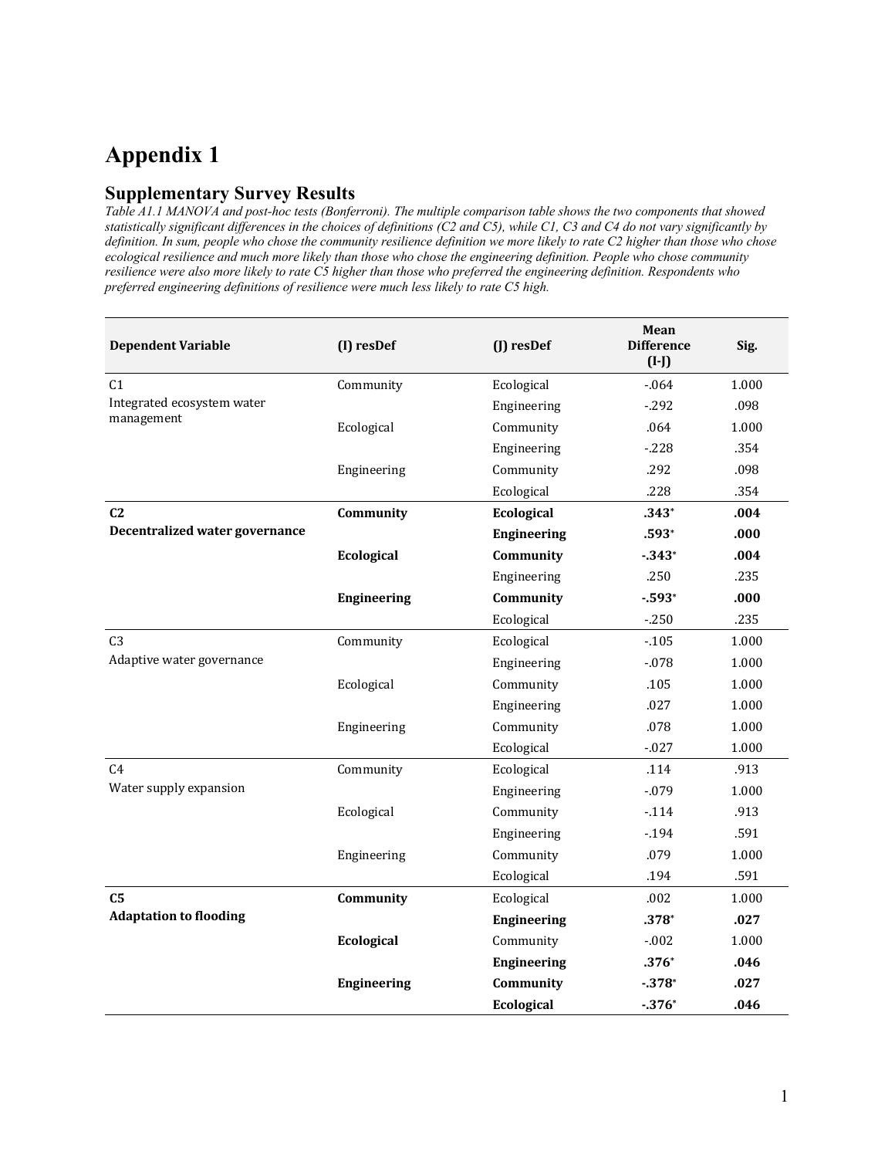## **Appendix 1**

#### **Supplementary Survey Results**

*Table A1.1 MANOVA and post-hoc tests (Bonferroni). The multiple comparison table shows the two components that showed statistically significant differences in the choices of definitions (C2 and C5), while C1, C3 and C4 do not vary significantly by definition. In sum, people who chose the community resilience definition we more likely to rate C2 higher than those who chose ecological resilience and much more likely than those who chose the engineering definition. People who chose community resilience were also more likely to rate C5 higher than those who preferred the engineering definition. Respondents who preferred engineering definitions of resilience were much less likely to rate C5 high.* 

| <b>Dependent Variable</b>      | (I) resDef         | (J) resDef         | Mean<br><b>Difference</b><br>$(I-I)$ | Sig.  |
|--------------------------------|--------------------|--------------------|--------------------------------------|-------|
| C <sub>1</sub>                 | Community          | Ecological         | $-0.064$                             | 1.000 |
| Integrated ecosystem water     |                    | Engineering        | $-292$                               | .098  |
| management                     | Ecological         | Community          | .064                                 | 1.000 |
|                                |                    | Engineering        | $-228$                               | .354  |
|                                | Engineering        | Community          | .292                                 | .098  |
|                                |                    | Ecological         | .228                                 | .354  |
| C <sub>2</sub>                 | Community          | Ecological         | $.343*$                              | .004  |
| Decentralized water governance |                    | <b>Engineering</b> | $.593*$                              | .000  |
|                                | Ecological         | Community          | $-343*$                              | .004  |
|                                |                    | Engineering        | .250                                 | .235  |
|                                | <b>Engineering</b> | Community          | $-593*$                              | .000  |
|                                |                    | Ecological         | $-250$                               | .235  |
| C <sub>3</sub>                 | Community          | Ecological         | $-105$                               | 1.000 |
| Adaptive water governance      |                    | Engineering        | $-0.78$                              | 1.000 |
|                                | Ecological         | Community          | .105                                 | 1.000 |
|                                |                    | Engineering        | .027                                 | 1.000 |
|                                | Engineering        | Community          | .078                                 | 1.000 |
|                                |                    | Ecological         | $-027$                               | 1.000 |
| C <sub>4</sub>                 | Community          | Ecological         | .114                                 | .913  |
| Water supply expansion         |                    | Engineering        | $-079$                               | 1.000 |
|                                | Ecological         | Community          | $-114$                               | .913  |
|                                |                    | Engineering        | $-194$                               | .591  |
|                                | Engineering        | Community          | .079                                 | 1.000 |
|                                |                    | Ecological         | .194                                 | .591  |
| C <sub>5</sub>                 | Community          | Ecological         | .002                                 | 1.000 |
| <b>Adaptation to flooding</b>  |                    | Engineering        | $.378*$                              | .027  |
|                                | Ecological         | Community          | $-0.002$                             | 1.000 |
|                                |                    | <b>Engineering</b> | $.376*$                              | .046  |
|                                | <b>Engineering</b> | Community          | $-378*$                              | .027  |
|                                |                    | Ecological         | $-376*$                              | .046  |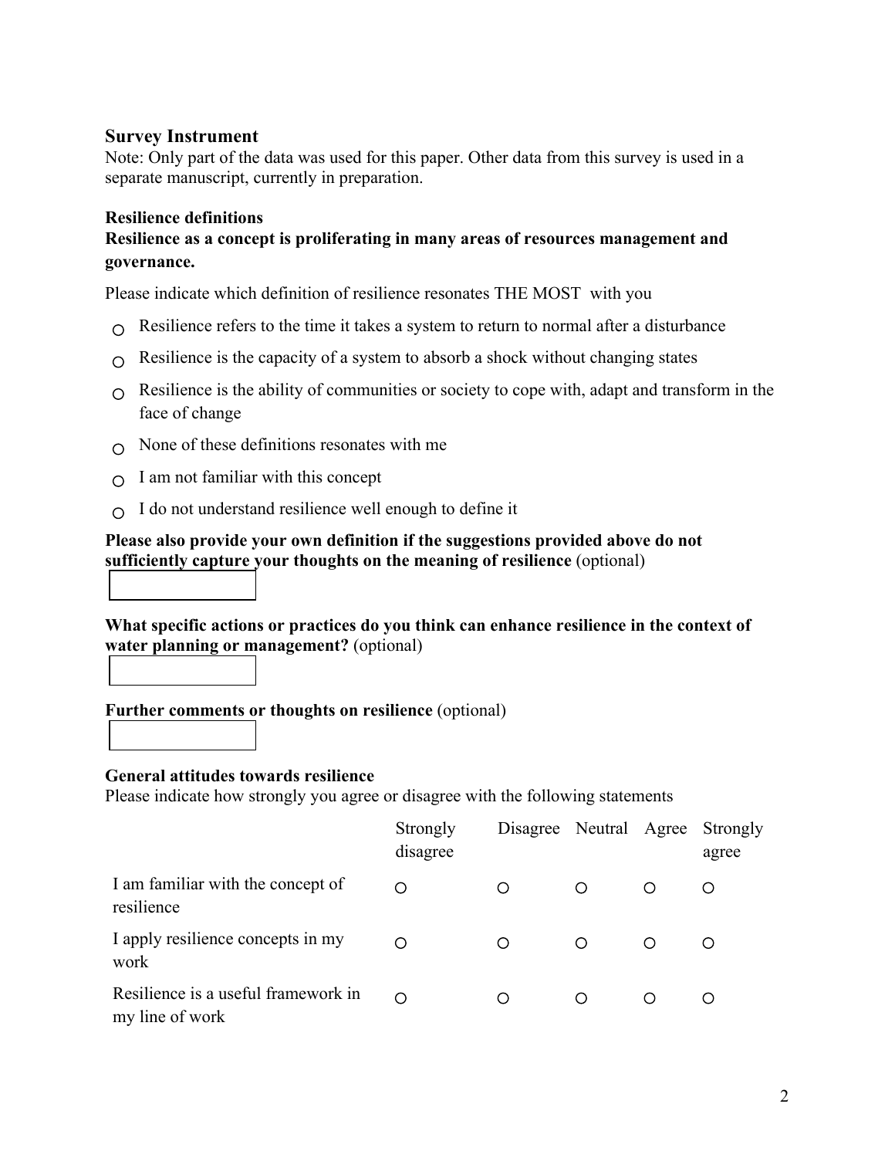### **Survey Instrument**

Note: Only part of the data was used for this paper. Other data from this survey is used in a separate manuscript, currently in preparation.

#### **Resilience definitions**

### **Resilience as a concept is proliferating in many areas of resources management and governance.**

Please indicate which definition of resilience resonates THE MOST with you

- $\Omega$  Resilience refers to the time it takes a system to return to normal after a disturbance
- $\Omega$  Resilience is the capacity of a system to absorb a shock without changing states
- $\Omega$  Resilience is the ability of communities or society to cope with, adapt and transform in the face of change
- $\cap$  None of these definitions resonates with me
- $\Omega$  I am not familiar with this concept
- $\cap$  I do not understand resilience well enough to define it

#### **Please also provide your own definition if the suggestions provided above do not sufficiently capture your thoughts on the meaning of resilience** (optional)

**What specific actions or practices do you think can enhance resilience in the context of water planning or management?** (optional)



#### **Further comments or thoughts on resilience** (optional)

#### **General attitudes towards resilience**

Please indicate how strongly you agree or disagree with the following statements

|                                                        | Strongly<br>disagree | Disagree Neutral Agree Strongly |         | agree |
|--------------------------------------------------------|----------------------|---------------------------------|---------|-------|
| I am familiar with the concept of<br>resilience        |                      | ∩                               | $\circ$ |       |
| I apply resilience concepts in my<br>work              |                      | ∩                               | ∩       |       |
| Resilience is a useful framework in<br>my line of work |                      | ∩                               |         |       |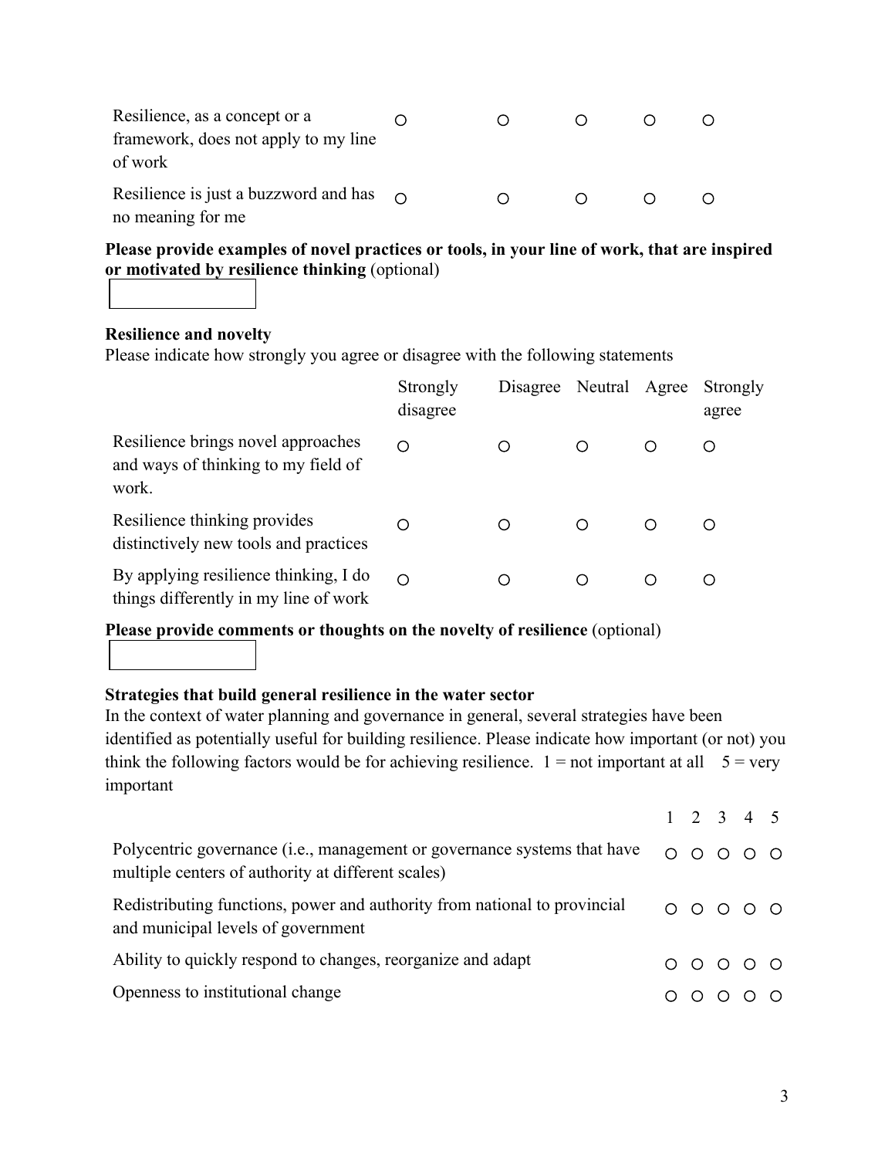| Resilience, as a concept or a<br>framework, does not apply to my line<br>of work |  |  |  |
|----------------------------------------------------------------------------------|--|--|--|
| Resilience is just a buzzword and has $\cap$<br>no meaning for me                |  |  |  |

**Please provide examples of novel practices or tools, in your line of work, that are inspired or motivated by resilience thinking** (optional)

**Resilience and novelty**

Please indicate how strongly you agree or disagree with the following statements

|                                                                                    | Strongly<br>disagree | Disagree | Neutral Agree |   | Strongly<br>agree |
|------------------------------------------------------------------------------------|----------------------|----------|---------------|---|-------------------|
| Resilience brings novel approaches<br>and ways of thinking to my field of<br>work. | ∩                    | ∩        |               | ∩ |                   |
| Resilience thinking provides<br>distinctively new tools and practices              |                      |          |               | ∩ |                   |
| By applying resilience thinking, I do<br>things differently in my line of work     | ∩                    |          |               | ◯ |                   |

**Please provide comments or thoughts on the novelty of resilience** (optional)

### **Strategies that build general resilience in the water sector**

In the context of water planning and governance in general, several strategies have been identified as potentially useful for building resilience. Please indicate how important (or not) you think the following factors would be for achieving resilience.  $1 = not$  important at all  $5 = very$ important

|                                                                                                                                |  | $1 \t2 \t3 \t4 \t5$                                                                          |  |
|--------------------------------------------------------------------------------------------------------------------------------|--|----------------------------------------------------------------------------------------------|--|
| Polycentric governance (i.e., management or governance systems that have<br>multiple centers of authority at different scales) |  | $\begin{array}{ccccccccccccccccc} \circ & \circ & \circ & \circ & \circ & \circ \end{array}$ |  |
| Redistributing functions, power and authority from national to provincial<br>and municipal levels of government                |  | $00000$                                                                                      |  |
| Ability to quickly respond to changes, reorganize and adapt                                                                    |  | $\begin{array}{ccc} \circ & \circ & \circ & \circ & \circ \end{array}$                       |  |
| Openness to institutional change                                                                                               |  |                                                                                              |  |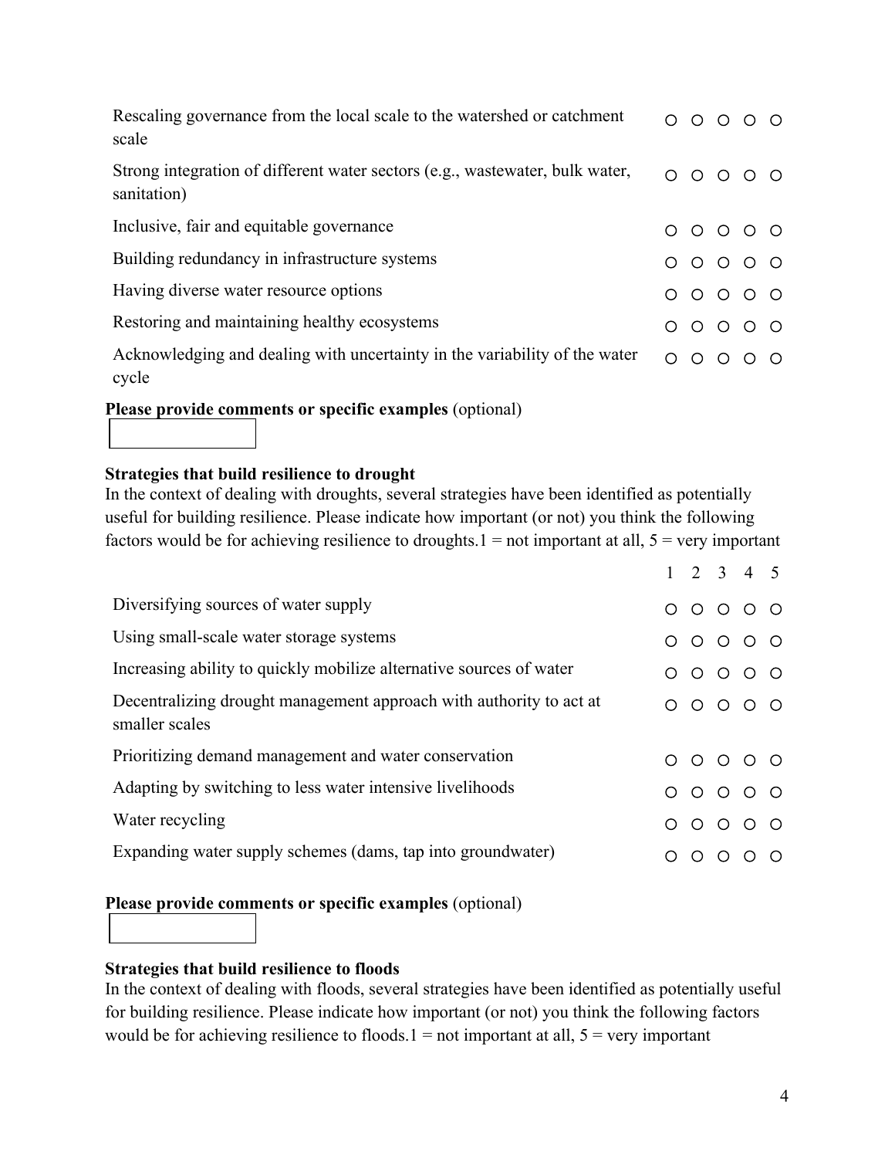| Rescaling governance from the local scale to the watershed or catchment<br>scale            | $\bigcirc$ | $O$ $O$ $O$                                                            |  |
|---------------------------------------------------------------------------------------------|------------|------------------------------------------------------------------------|--|
| Strong integration of different water sectors (e.g., wastewater, bulk water,<br>sanitation) | $\bigcirc$ | $\begin{array}{ccc} & \circ & \circ & \circ \end{array}$               |  |
| Inclusive, fair and equitable governance                                                    |            | $00000$                                                                |  |
| Building redundancy in infrastructure systems                                               |            | $00000$                                                                |  |
| Having diverse water resource options                                                       |            | $\begin{array}{ccc} \circ & \circ & \circ & \circ & \circ \end{array}$ |  |
| Restoring and maintaining healthy ecosystems                                                |            | $\begin{array}{ccc} & O & O & O & O \end{array}$                       |  |
| Acknowledging and dealing with uncertainty in the variability of the water<br>cycle         | $\bigcirc$ | $\circ$ $\circ$ $\circ$                                                |  |

**Please provide comments or specific examples** (optional)

### **Strategies that build resilience to drought**

In the context of dealing with droughts, several strategies have been identified as potentially useful for building resilience. Please indicate how important (or not) you think the following factors would be for achieving resilience to droughts. $1 = not$  important at all,  $5 = very$  important

|                                                                                       |            |            |   | $1 \t2 \t3 \t4 \t5$                                              |   |
|---------------------------------------------------------------------------------------|------------|------------|---|------------------------------------------------------------------|---|
| Diversifying sources of water supply                                                  | $\bigcirc$ |            |   | $\begin{array}{ccc} & \circ & \circ & \circ & \circ \end{array}$ |   |
| Using small-scale water storage systems                                               |            | $\circ$    |   | $\circ \circ \circ \circ$                                        |   |
| Increasing ability to quickly mobilize alternative sources of water                   |            |            |   | $\begin{array}{ccc} \circ & \circ & \circ & \circ \end{array}$   |   |
| Decentralizing drought management approach with authority to act at<br>smaller scales |            |            |   | $\begin{array}{ccc} & \circ & \circ & \circ & \circ \end{array}$ |   |
| Prioritizing demand management and water conservation                                 | ∩          |            |   | $\begin{array}{ccc} 0 & 0 & 0 & 0 \end{array}$                   |   |
| Adapting by switching to less water intensive livelihoods                             | ∩          |            |   | $\begin{array}{ccc} 0 & 0 & 0 & 0 \end{array}$                   |   |
| Water recycling                                                                       | ◯          | $\bigcirc$ |   | $O$ $O$ $O$                                                      |   |
| Expanding water supply schemes (dams, tap into groundwater)                           |            |            | ∩ |                                                                  | ◯ |

### **Please provide comments or specific examples** (optional)

### **Strategies that build resilience to floods**

In the context of dealing with floods, several strategies have been identified as potentially useful for building resilience. Please indicate how important (or not) you think the following factors would be for achieving resilience to floods. $1 = not$  important at all,  $5 = very$  important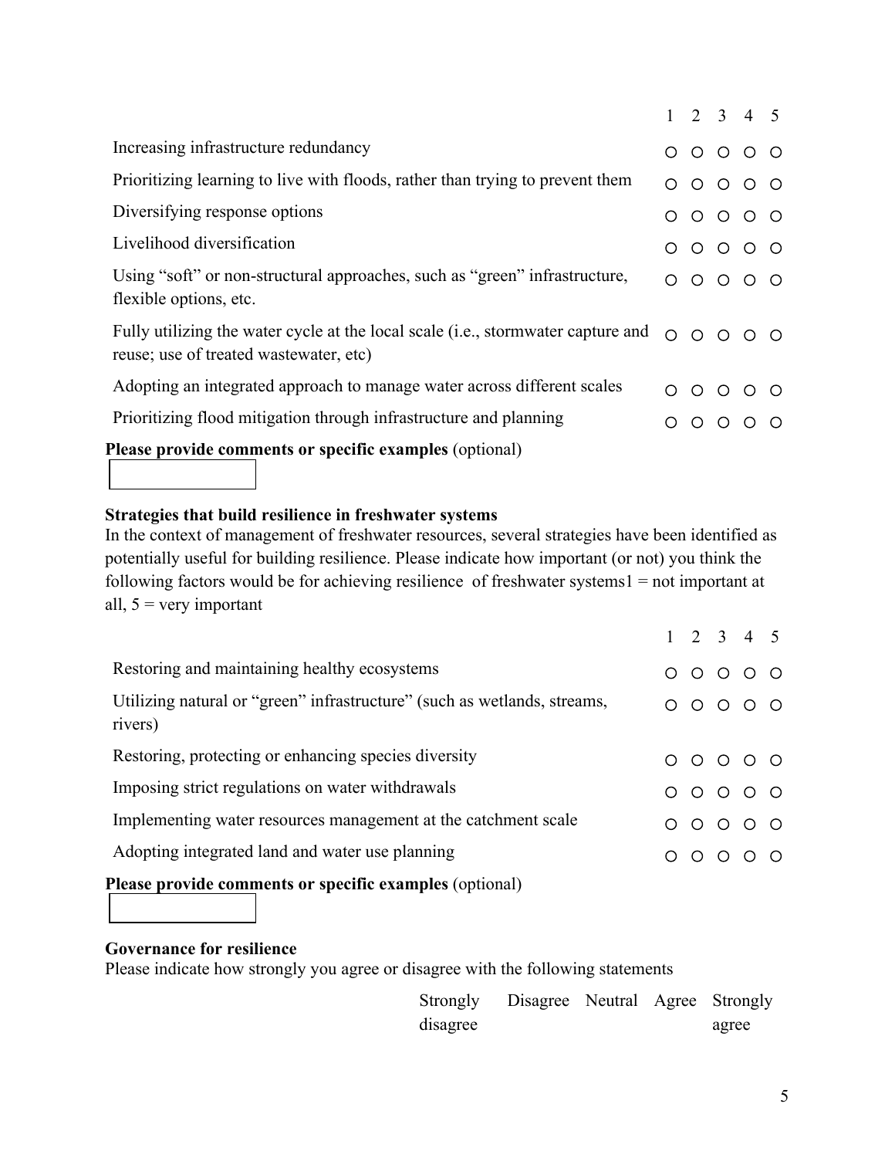|                                                                                                                                     |   |         | $1 \t2 \t3 \t4 \t5$                                                    |  |
|-------------------------------------------------------------------------------------------------------------------------------------|---|---------|------------------------------------------------------------------------|--|
| Increasing infrastructure redundancy                                                                                                |   |         | $00000$                                                                |  |
| Prioritizing learning to live with floods, rather than trying to prevent them                                                       | ∩ | $\circ$ | $O$ $O$ $O$                                                            |  |
| Diversifying response options                                                                                                       |   |         | $\circ \circ \circ \circ \circ$                                        |  |
| Livelihood diversification                                                                                                          |   |         | $00000$                                                                |  |
| Using "soft" or non-structural approaches, such as "green" infrastructure,<br>flexible options, etc.                                |   |         | $\begin{array}{ccc} & O & O & O & O \end{array}$                       |  |
| Fully utilizing the water cycle at the local scale ( <i>i.e.</i> , stormwater capture and<br>reuse; use of treated wastewater, etc) |   |         | $\begin{array}{ccc} \circ & \circ & \circ & \circ & \circ \end{array}$ |  |
| Adopting an integrated approach to manage water across different scales                                                             |   | $\circ$ | $O$ $O$ $O$                                                            |  |
| Prioritizing flood mitigation through infrastructure and planning                                                                   |   |         | $\begin{array}{ccc} \circ & \circ & \circ & \circ \end{array}$         |  |
| Please provide comments or specific examples (optional)                                                                             |   |         |                                                                        |  |

# **Strategies that build resilience in freshwater systems**

In the context of management of freshwater resources, several strategies have been identified as potentially useful for building resilience. Please indicate how important (or not) you think the following factors would be for achieving resilience of freshwater systems1 = not important at all,  $5 = \text{very important}$ 

|                                                                                     |   | $1 \t2 \t3 \t4 \t5$                                                    |  |
|-------------------------------------------------------------------------------------|---|------------------------------------------------------------------------|--|
| Restoring and maintaining healthy ecosystems                                        |   | $\begin{array}{ccc} \circ & \circ & \circ & \circ & \circ \end{array}$ |  |
| Utilizing natural or "green" infrastructure" (such as wetlands, streams,<br>rivers) |   | $00000$                                                                |  |
| Restoring, protecting or enhancing species diversity                                |   | $\begin{array}{ccc} \circ & \circ & \circ & \circ & \circ \end{array}$ |  |
| Imposing strict regulations on water withdrawals                                    |   | $00000$                                                                |  |
| Implementing water resources management at the catchment scale                      | ∩ | $\begin{array}{ccc} & O & O & O \\ \end{array}$                        |  |
| Adopting integrated land and water use planning                                     |   | $\begin{array}{ccc} \circ & \circ & \circ & \circ & \circ \end{array}$ |  |
| Please provide comments or specific examples (optional)                             |   |                                                                        |  |

### **Governance for resilience**

Please indicate how strongly you agree or disagree with the following statements

| Strongly | Disagree Neutral Agree Strongly |  |       |
|----------|---------------------------------|--|-------|
| disagree |                                 |  | agree |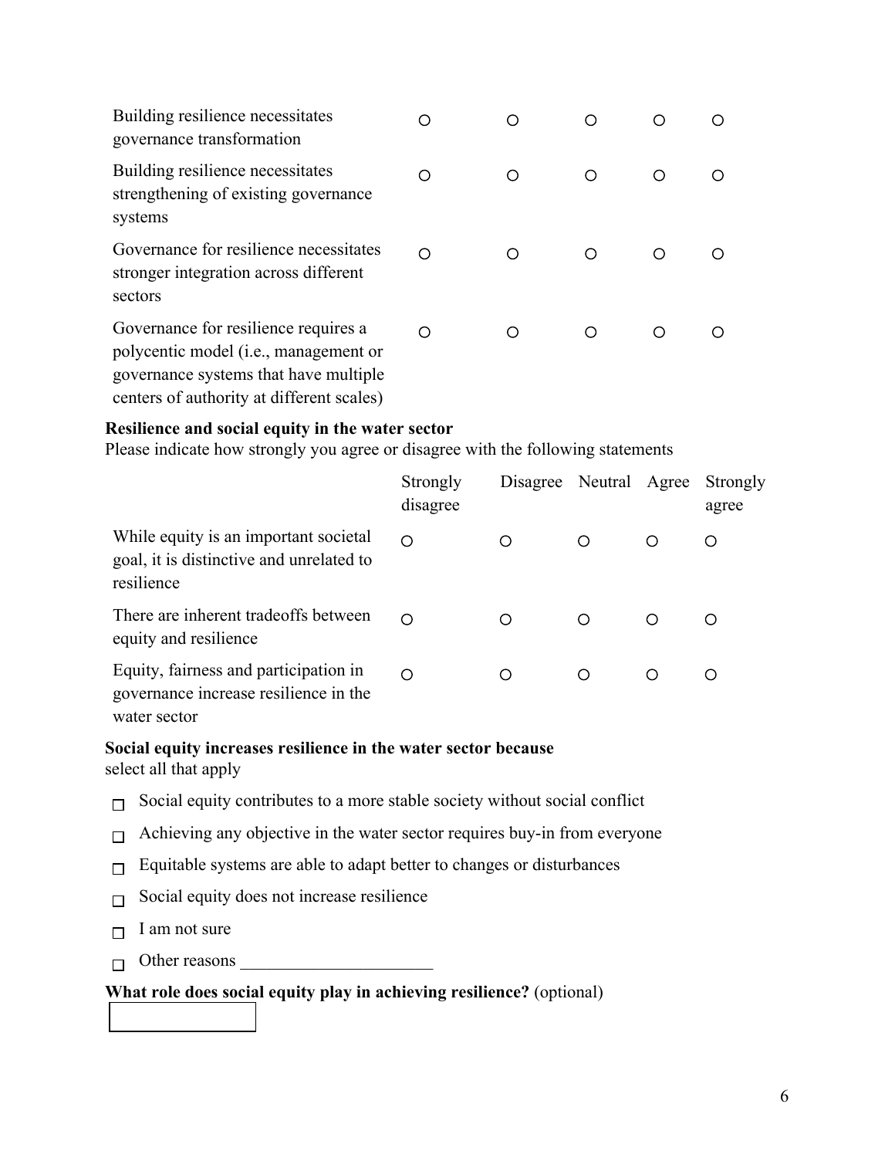| Building resilience necessitates<br>governance transformation                                                                                                                |   |  |  |
|------------------------------------------------------------------------------------------------------------------------------------------------------------------------------|---|--|--|
| Building resilience necessitates<br>strengthening of existing governance<br>systems                                                                                          |   |  |  |
| Governance for resilience necessitates<br>stronger integration across different<br>sectors                                                                                   | ∩ |  |  |
| Governance for resilience requires a<br>polycentic model ( <i>i.e.</i> , management or<br>governance systems that have multiple<br>centers of authority at different scales) | ∩ |  |  |

### **Resilience and social equity in the water sector**

Please indicate how strongly you agree or disagree with the following statements

|                                                                                                 | Strongly<br>disagree | Disagree Neutral Agree |   |   | Strongly<br>agree |
|-------------------------------------------------------------------------------------------------|----------------------|------------------------|---|---|-------------------|
| While equity is an important societal<br>goal, it is distinctive and unrelated to<br>resilience | ∩                    | ∩                      | ◯ | ∩ | ◯                 |
| There are inherent tradeoffs between<br>equity and resilience                                   | ⌒                    | ◯                      | ◯ | O | O                 |
| Equity, fairness and participation in<br>governance increase resilience in the<br>water sector  | ∩                    | ∩                      | ∩ | ∩ | ∩                 |

#### **Social equity increases resilience in the water sector because** select all that apply

- $\Box$  Social equity contributes to a more stable society without social conflict
- $\Box$  Achieving any objective in the water sector requires buy-in from everyone
- Equitable systems are able to adapt better to changes or disturbances  $\Box$
- Social equity does not increase resilience  $\Box$
- I am not sure  $\Box$
- $\Box$  Other reasons  $\Box$

#### **What role does social equity play in achieving resilience?** (optional)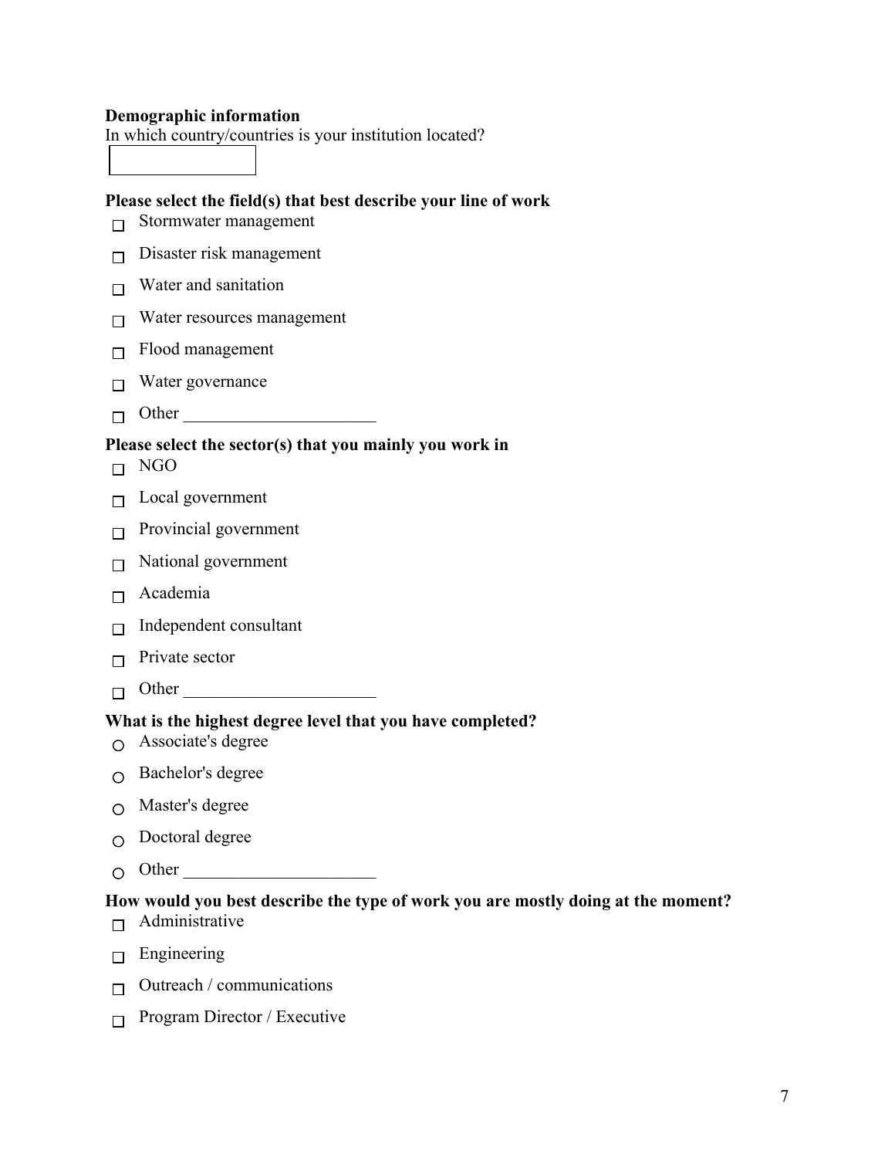#### **Demographic information**

In which country/countries is your institution located?

#### **Please select the field(s) that best describe your line of work**

- $\Box$  Stormwater management
- $\Box$  Disaster risk management
- $\Box$  Water and sanitation
- $\Box$  Water resources management
- $\Box$  Flood management
- $\Box$  Water governance
- $\Box$  Other

#### **Please select the sector(s) that you mainly you work in**

- $\Box$  NGO
- $\Box$  Local government
- $\Box$  Provincial government
- $\Box$  National government
- Academia
- $\Box$  Independent consultant
- $\Box$  Private sector
- $\Box$  Other

#### **What is the highest degree level that you have completed?**

- $\Omega$  Associate's degree
- $\cap$  Bachelor's degree
- $\cap$  Master's degree
- $\bigcirc$  Doctoral degree
- Other \_\_\_\_\_\_\_\_\_\_\_\_\_\_\_\_\_\_\_\_\_\_

#### **How would you best describe the type of work you are mostly doing at the moment?**

- $\Box$  Administrative
- $\Box$  Engineering
- $\Box$  Outreach / communications
- $\Box$  Program Director / Executive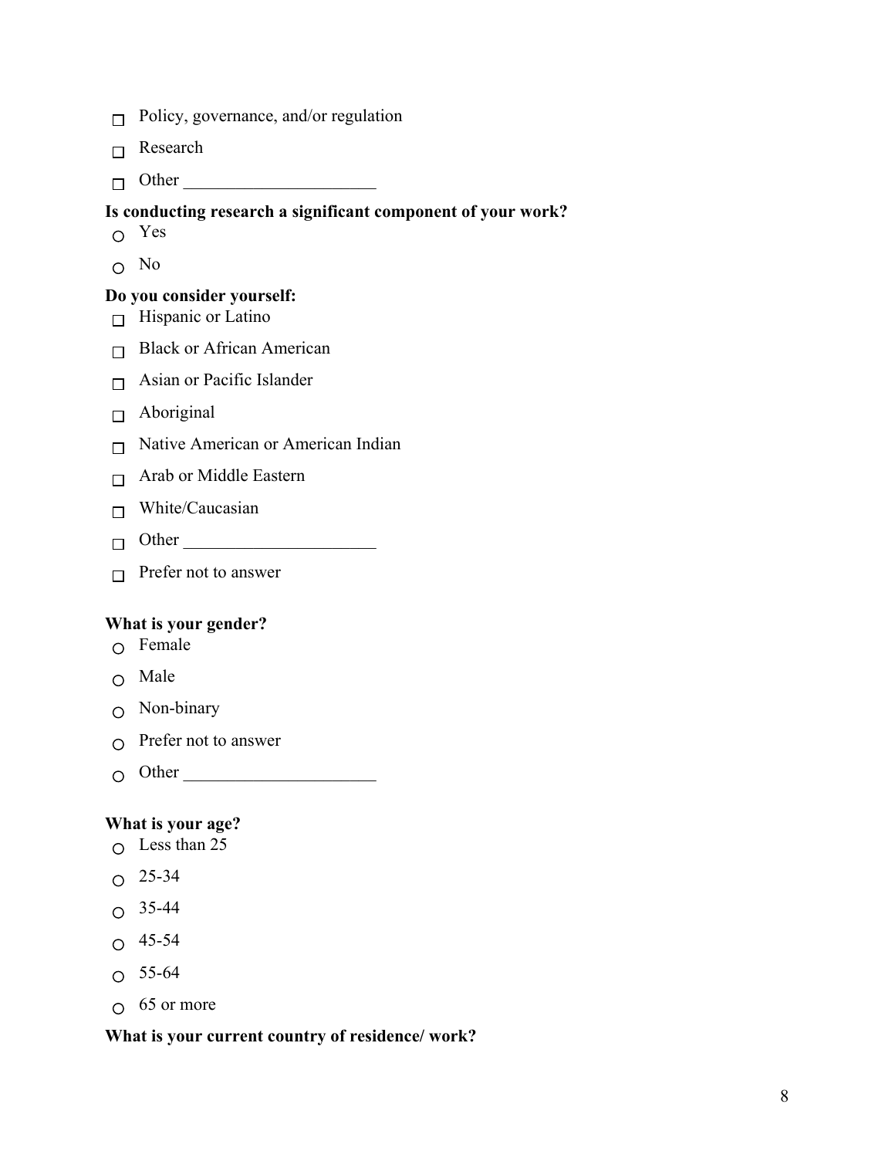- $\Box$  Policy, governance, and/or regulation
- $\Box$  Research
- $\Box$  Other

### **Is conducting research a significant component of your work?**

- Yes
- $\Omega$  No

### **Do you consider yourself:**

- $\Box$  Hispanic or Latino
- $\Box$  Black or African American
- $\Box$  Asian or Pacific Islander
- $\Box$  Aboriginal
- $\Box$  Native American or American Indian
- $\Box$  Arab or Middle Eastern
- $\Box$  White/Caucasian
- Other \_\_\_\_\_\_\_\_\_\_\_\_\_\_\_\_\_\_\_\_\_\_
- $\Box$  Prefer not to answer

### **What is your gender?**

- $\circ$  Female
- Male
- Non-binary
- $\bigcap$  Prefer not to answer
- $\bigcirc$  Other

### **What is your age?**

- $\circ$  Less than 25
- $O$  25-34
- $O$  35-44
- $O$  45-54
- $O 55-64$
- $\circ$  65 or more

### **What is your current country of residence/ work?**